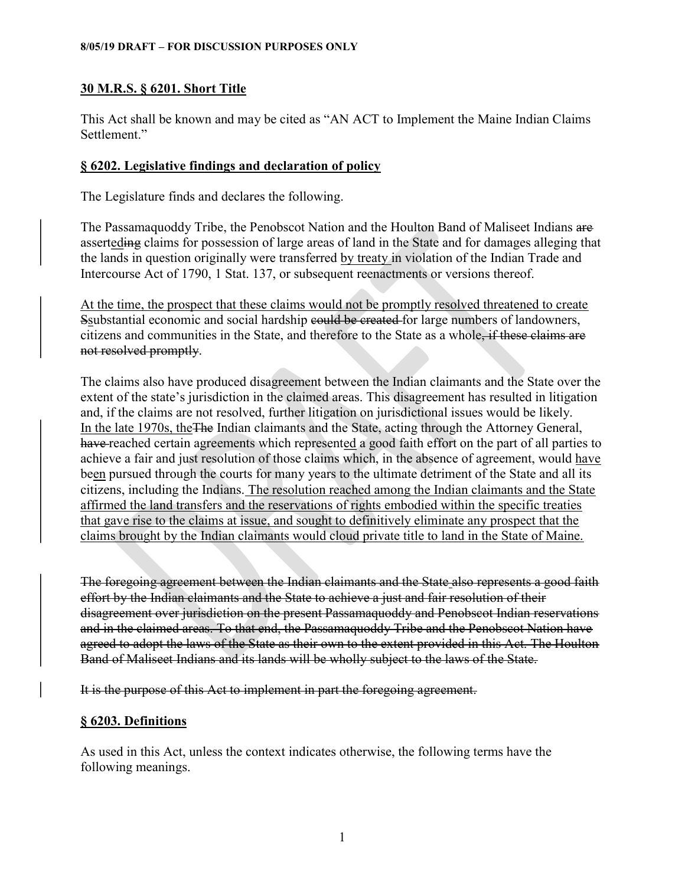#### 8/05/19 DRAFT – FOR DISCUSSION PURPOSES ONLY

### 30 M.R.S. § 6201. Short Title

This Act shall be known and may be cited as "AN ACT to Implement the Maine Indian Claims Settlement."

### § 6202. Legislative findings and declaration of policy

The Legislature finds and declares the following.

The Passamaquoddy Tribe, the Penobscot Nation and the Houlton Band of Maliseet Indians are asserteding claims for possession of large areas of land in the State and for damages alleging that the lands in question originally were transferred by treaty in violation of the Indian Trade and Intercourse Act of 1790, 1 Stat. 137, or subsequent reenactments or versions thereof.

At the time, the prospect that these claims would not be promptly resolved threatened to create Ssubstantial economic and social hardship could be created for large numbers of landowners, citizens and communities in the State, and therefore to the State as a whole, if these claims are not resolved promptly.

The claims also have produced disagreement between the Indian claimants and the State over the extent of the state's jurisdiction in the claimed areas. This disagreement has resulted in litigation and, if the claims are not resolved, further litigation on jurisdictional issues would be likely. In the late 1970s, theThe Indian claimants and the State, acting through the Attorney General, have reached certain agreements which represented a good faith effort on the part of all parties to achieve a fair and just resolution of those claims which, in the absence of agreement, would have been pursued through the courts for many years to the ultimate detriment of the State and all its citizens, including the Indians. The resolution reached among the Indian claimants and the State affirmed the land transfers and the reservations of rights embodied within the specific treaties that gave rise to the claims at issue, and sought to definitively eliminate any prospect that the claims brought by the Indian claimants would cloud private title to land in the State of Maine.

The foregoing agreement between the Indian claimants and the State also represents a good faith effort by the Indian claimants and the State to achieve a just and fair resolution of their disagreement over jurisdiction on the present Passamaquoddy and Penobscot Indian reservations and in the claimed areas. To that end, the Passamaquoddy Tribe and the Penobscot Nation have agreed to adopt the laws of the State as their own to the extent provided in this Act. The Houlton Band of Maliseet Indians and its lands will be wholly subject to the laws of the State.

It is the purpose of this Act to implement in part the foregoing agreement.

#### § 6203. Definitions

As used in this Act, unless the context indicates otherwise, the following terms have the following meanings.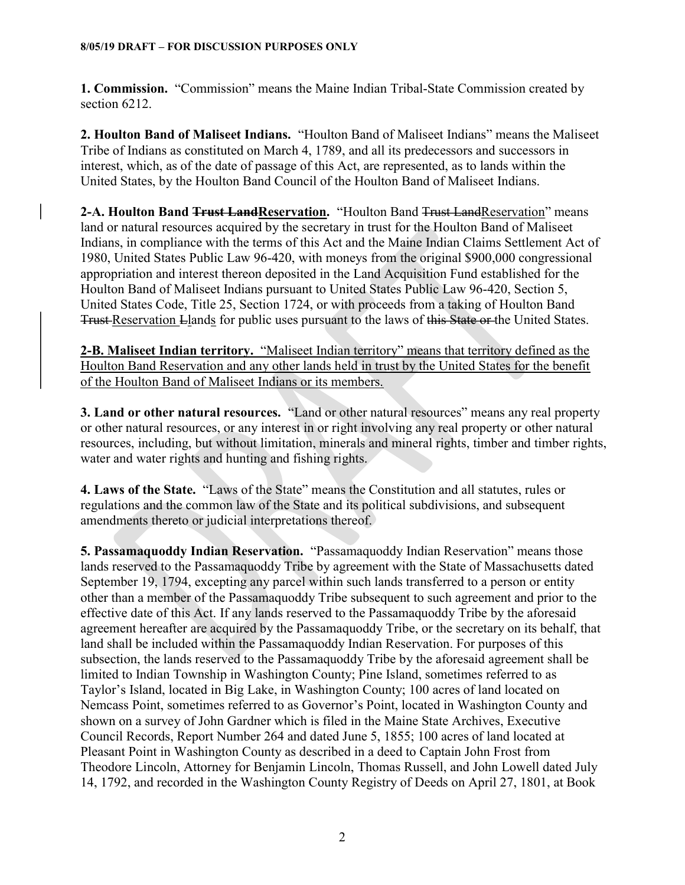1. Commission. "Commission" means the Maine Indian Tribal-State Commission created by section 6212.

2. Houlton Band of Maliseet Indians. "Houlton Band of Maliseet Indians" means the Maliseet Tribe of Indians as constituted on March 4, 1789, and all its predecessors and successors in interest, which, as of the date of passage of this Act, are represented, as to lands within the United States, by the Houlton Band Council of the Houlton Band of Maliseet Indians.

2-A. Houlton Band Trust LandReservation. "Houlton Band Trust LandReservation" means land or natural resources acquired by the secretary in trust for the Houlton Band of Maliseet Indians, in compliance with the terms of this Act and the Maine Indian Claims Settlement Act of 1980, United States Public Law 96-420, with moneys from the original \$900,000 congressional appropriation and interest thereon deposited in the Land Acquisition Fund established for the Houlton Band of Maliseet Indians pursuant to United States Public Law 96-420, Section 5, United States Code, Title 25, Section 1724, or with proceeds from a taking of Houlton Band Trust Reservation Llands for public uses pursuant to the laws of this State or the United States.

2-B. Maliseet Indian territory. "Maliseet Indian territory" means that territory defined as the Houlton Band Reservation and any other lands held in trust by the United States for the benefit of the Houlton Band of Maliseet Indians or its members.

3. Land or other natural resources. "Land or other natural resources" means any real property or other natural resources, or any interest in or right involving any real property or other natural resources, including, but without limitation, minerals and mineral rights, timber and timber rights, water and water rights and hunting and fishing rights.

4. Laws of the State. "Laws of the State" means the Constitution and all statutes, rules or regulations and the common law of the State and its political subdivisions, and subsequent amendments thereto or judicial interpretations thereof.

5. Passamaquoddy Indian Reservation. "Passamaquoddy Indian Reservation" means those lands reserved to the Passamaquoddy Tribe by agreement with the State of Massachusetts dated September 19, 1794, excepting any parcel within such lands transferred to a person or entity other than a member of the Passamaquoddy Tribe subsequent to such agreement and prior to the effective date of this Act. If any lands reserved to the Passamaquoddy Tribe by the aforesaid agreement hereafter are acquired by the Passamaquoddy Tribe, or the secretary on its behalf, that land shall be included within the Passamaquoddy Indian Reservation. For purposes of this subsection, the lands reserved to the Passamaquoddy Tribe by the aforesaid agreement shall be limited to Indian Township in Washington County; Pine Island, sometimes referred to as Taylor's Island, located in Big Lake, in Washington County; 100 acres of land located on Nemcass Point, sometimes referred to as Governor's Point, located in Washington County and shown on a survey of John Gardner which is filed in the Maine State Archives, Executive Council Records, Report Number 264 and dated June 5, 1855; 100 acres of land located at Pleasant Point in Washington County as described in a deed to Captain John Frost from Theodore Lincoln, Attorney for Benjamin Lincoln, Thomas Russell, and John Lowell dated July 14, 1792, and recorded in the Washington County Registry of Deeds on April 27, 1801, at Book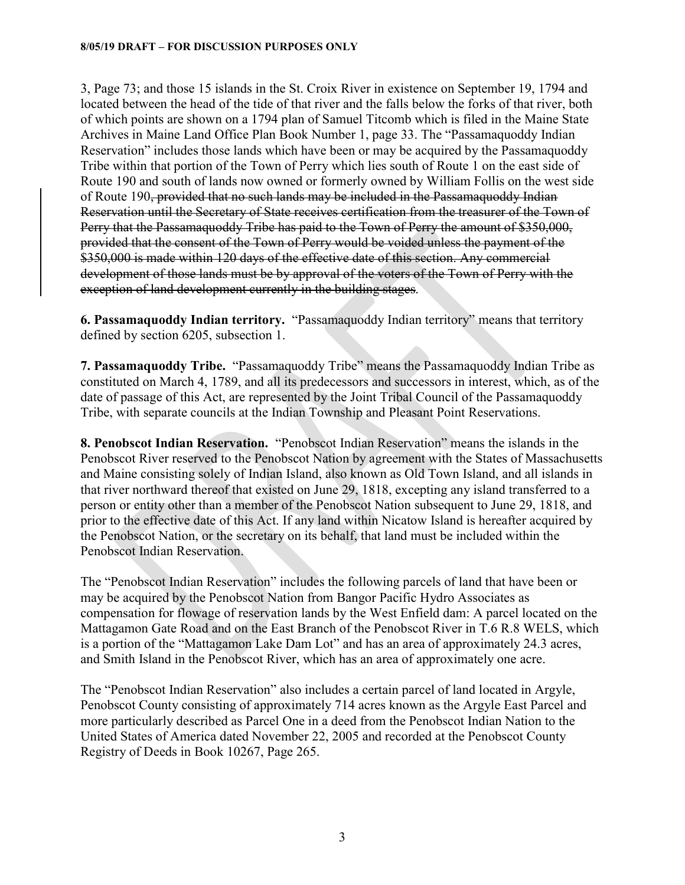3, Page 73; and those 15 islands in the St. Croix River in existence on September 19, 1794 and located between the head of the tide of that river and the falls below the forks of that river, both of which points are shown on a 1794 plan of Samuel Titcomb which is filed in the Maine State Archives in Maine Land Office Plan Book Number 1, page 33. The "Passamaquoddy Indian Reservation" includes those lands which have been or may be acquired by the Passamaquoddy Tribe within that portion of the Town of Perry which lies south of Route 1 on the east side of Route 190 and south of lands now owned or formerly owned by William Follis on the west side of Route 190, provided that no such lands may be included in the Passamaquoddy Indian Reservation until the Secretary of State receives certification from the treasurer of the Town of Perry that the Passamaquoddy Tribe has paid to the Town of Perry the amount of \$350,000, provided that the consent of the Town of Perry would be voided unless the payment of the \$350,000 is made within 120 days of the effective date of this section. Any commercial development of those lands must be by approval of the voters of the Town of Perry with the exception of land development currently in the building stages.

6. Passamaquoddy Indian territory. "Passamaquoddy Indian territory" means that territory defined by section 6205, subsection 1.

7. Passamaquoddy Tribe. "Passamaquoddy Tribe" means the Passamaquoddy Indian Tribe as constituted on March 4, 1789, and all its predecessors and successors in interest, which, as of the date of passage of this Act, are represented by the Joint Tribal Council of the Passamaquoddy Tribe, with separate councils at the Indian Township and Pleasant Point Reservations.

8. Penobscot Indian Reservation. "Penobscot Indian Reservation" means the islands in the Penobscot River reserved to the Penobscot Nation by agreement with the States of Massachusetts and Maine consisting solely of Indian Island, also known as Old Town Island, and all islands in that river northward thereof that existed on June 29, 1818, excepting any island transferred to a person or entity other than a member of the Penobscot Nation subsequent to June 29, 1818, and prior to the effective date of this Act. If any land within Nicatow Island is hereafter acquired by the Penobscot Nation, or the secretary on its behalf, that land must be included within the Penobscot Indian Reservation.

The "Penobscot Indian Reservation" includes the following parcels of land that have been or may be acquired by the Penobscot Nation from Bangor Pacific Hydro Associates as compensation for flowage of reservation lands by the West Enfield dam: A parcel located on the Mattagamon Gate Road and on the East Branch of the Penobscot River in T.6 R.8 WELS, which is a portion of the "Mattagamon Lake Dam Lot" and has an area of approximately 24.3 acres, and Smith Island in the Penobscot River, which has an area of approximately one acre.

The "Penobscot Indian Reservation" also includes a certain parcel of land located in Argyle, Penobscot County consisting of approximately 714 acres known as the Argyle East Parcel and more particularly described as Parcel One in a deed from the Penobscot Indian Nation to the United States of America dated November 22, 2005 and recorded at the Penobscot County Registry of Deeds in Book 10267, Page 265.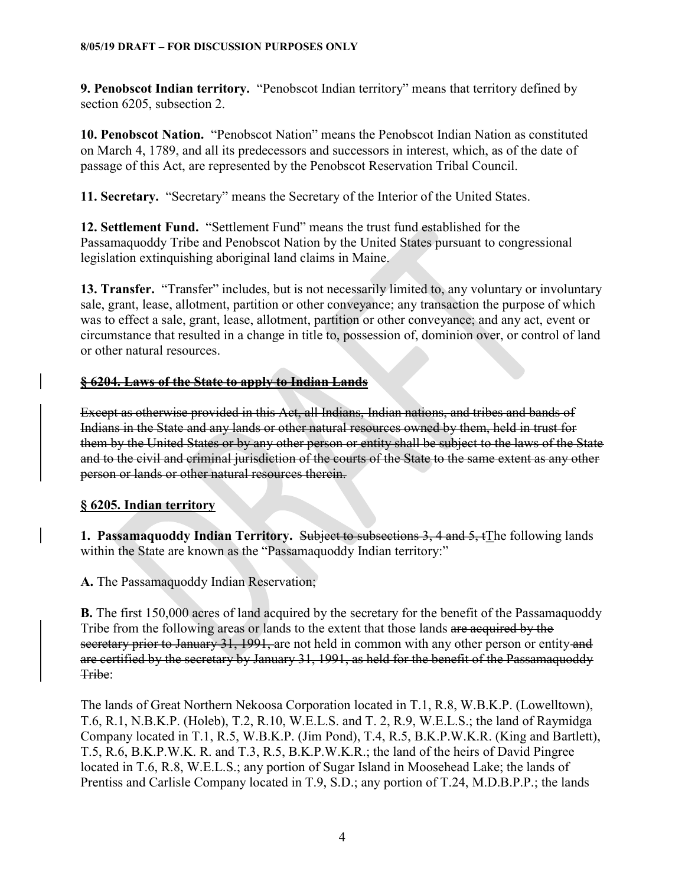9. Penobscot Indian territory. "Penobscot Indian territory" means that territory defined by section 6205, subsection 2.

10. Penobscot Nation. "Penobscot Nation" means the Penobscot Indian Nation as constituted on March 4, 1789, and all its predecessors and successors in interest, which, as of the date of passage of this Act, are represented by the Penobscot Reservation Tribal Council.

11. Secretary. "Secretary" means the Secretary of the Interior of the United States.

12. Settlement Fund. "Settlement Fund" means the trust fund established for the Passamaquoddy Tribe and Penobscot Nation by the United States pursuant to congressional legislation extinquishing aboriginal land claims in Maine.

13. Transfer. "Transfer" includes, but is not necessarily limited to, any voluntary or involuntary sale, grant, lease, allotment, partition or other conveyance; any transaction the purpose of which was to effect a sale, grant, lease, allotment, partition or other conveyance; and any act, event or circumstance that resulted in a change in title to, possession of, dominion over, or control of land or other natural resources.

### § 6204. Laws of the State to apply to Indian Lands

Except as otherwise provided in this Act, all Indians, Indian nations, and tribes and bands of Indians in the State and any lands or other natural resources owned by them, held in trust for them by the United States or by any other person or entity shall be subject to the laws of the State and to the civil and criminal jurisdiction of the courts of the State to the same extent as any other person or lands or other natural resources therein.

#### § 6205. Indian territory

1. Passamaquoddy Indian Territory. Subject to subsections 3, 4 and 5, t The following lands within the State are known as the "Passamaquoddy Indian territory:"

A. The Passamaquoddy Indian Reservation;

B. The first 150,000 acres of land acquired by the secretary for the benefit of the Passamaquoddy Tribe from the following areas or lands to the extent that those lands are acquired by the secretary prior to January 31, 1991, are not held in common with any other person or entity and are certified by the secretary by January 31, 1991, as held for the benefit of the Passamaquoddy Tribe:

The lands of Great Northern Nekoosa Corporation located in T.1, R.8, W.B.K.P. (Lowelltown), T.6, R.1, N.B.K.P. (Holeb), T.2, R.10, W.E.L.S. and T. 2, R.9, W.E.L.S.; the land of Raymidga Company located in T.1, R.5, W.B.K.P. (Jim Pond), T.4, R.5, B.K.P.W.K.R. (King and Bartlett), T.5, R.6, B.K.P.W.K. R. and T.3, R.5, B.K.P.W.K.R.; the land of the heirs of David Pingree located in T.6, R.8, W.E.L.S.; any portion of Sugar Island in Moosehead Lake; the lands of Prentiss and Carlisle Company located in T.9, S.D.; any portion of T.24, M.D.B.P.P.; the lands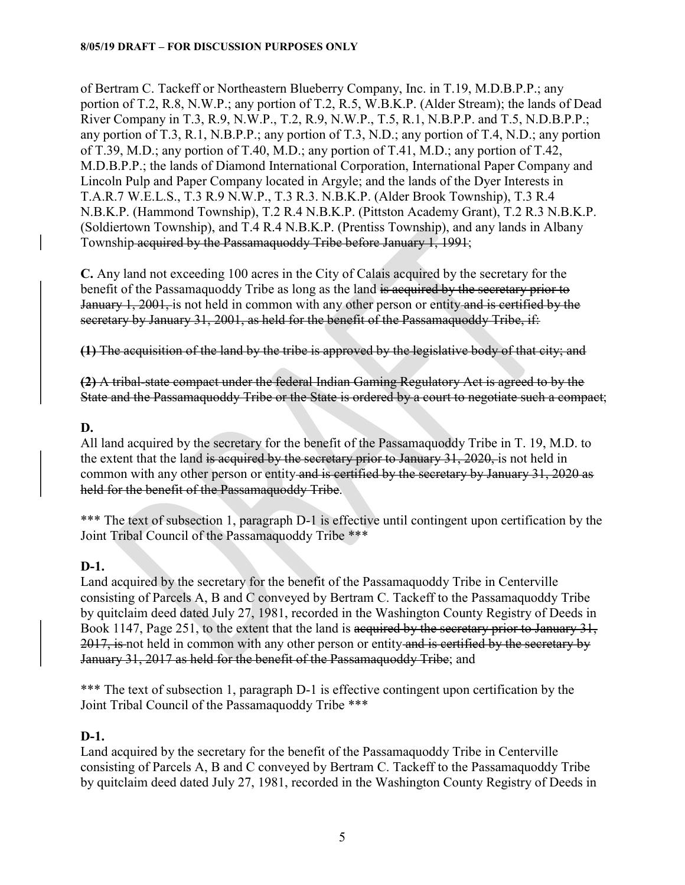#### 8/05/19 DRAFT – FOR DISCUSSION PURPOSES ONLY

of Bertram C. Tackeff or Northeastern Blueberry Company, Inc. in T.19, M.D.B.P.P.; any portion of T.2, R.8, N.W.P.; any portion of T.2, R.5, W.B.K.P. (Alder Stream); the lands of Dead River Company in T.3, R.9, N.W.P., T.2, R.9, N.W.P., T.5, R.1, N.B.P.P. and T.5, N.D.B.P.P.; any portion of T.3, R.1, N.B.P.P.; any portion of T.3, N.D.; any portion of T.4, N.D.; any portion of T.39, M.D.; any portion of T.40, M.D.; any portion of T.41, M.D.; any portion of T.42, M.D.B.P.P.; the lands of Diamond International Corporation, International Paper Company and Lincoln Pulp and Paper Company located in Argyle; and the lands of the Dyer Interests in T.A.R.7 W.E.L.S., T.3 R.9 N.W.P., T.3 R.3. N.B.K.P. (Alder Brook Township), T.3 R.4 N.B.K.P. (Hammond Township), T.2 R.4 N.B.K.P. (Pittston Academy Grant), T.2 R.3 N.B.K.P. (Soldiertown Township), and T.4 R.4 N.B.K.P. (Prentiss Township), and any lands in Albany Township acquired by the Passamaquoddy Tribe before January 1, 1991;

C. Any land not exceeding 100 acres in the City of Calais acquired by the secretary for the benefit of the Passamaquoddy Tribe as long as the land is acquired by the secretary prior to January 1, 2001, is not held in common with any other person or entity and is certified by the secretary by January 31, 2001, as held for the benefit of the Passamaquoddy Tribe, if:

(1) The acquisition of the land by the tribe is approved by the legislative body of that city; and

(2) A tribal-state compact under the federal Indian Gaming Regulatory Act is agreed to by the State and the Passamaquoddy Tribe or the State is ordered by a court to negotiate such a compact;

#### D.

All land acquired by the secretary for the benefit of the Passamaquoddy Tribe in T. 19, M.D. to the extent that the land is acquired by the secretary prior to January 31, 2020, is not held in common with any other person or entity and is certified by the secretary by January 31, 2020 as held for the benefit of the Passamaquoddy Tribe.

\*\*\* The text of subsection 1, paragraph D-1 is effective until contingent upon certification by the Joint Tribal Council of the Passamaquoddy Tribe \*\*\*

#### D-1.

Land acquired by the secretary for the benefit of the Passamaquoddy Tribe in Centerville consisting of Parcels A, B and C conveyed by Bertram C. Tackeff to the Passamaquoddy Tribe by quitclaim deed dated July 27, 1981, recorded in the Washington County Registry of Deeds in Book 1147, Page 251, to the extent that the land is acquired by the secretary prior to January 31, 2017, is not held in common with any other person or entity and is certified by the secretary by January 31, 2017 as held for the benefit of the Passamaquoddy Tribe; and

\*\*\* The text of subsection 1, paragraph D-1 is effective contingent upon certification by the Joint Tribal Council of the Passamaquoddy Tribe \*\*\*

#### D-1.

Land acquired by the secretary for the benefit of the Passamaquoddy Tribe in Centerville consisting of Parcels A, B and C conveyed by Bertram C. Tackeff to the Passamaquoddy Tribe by quitclaim deed dated July 27, 1981, recorded in the Washington County Registry of Deeds in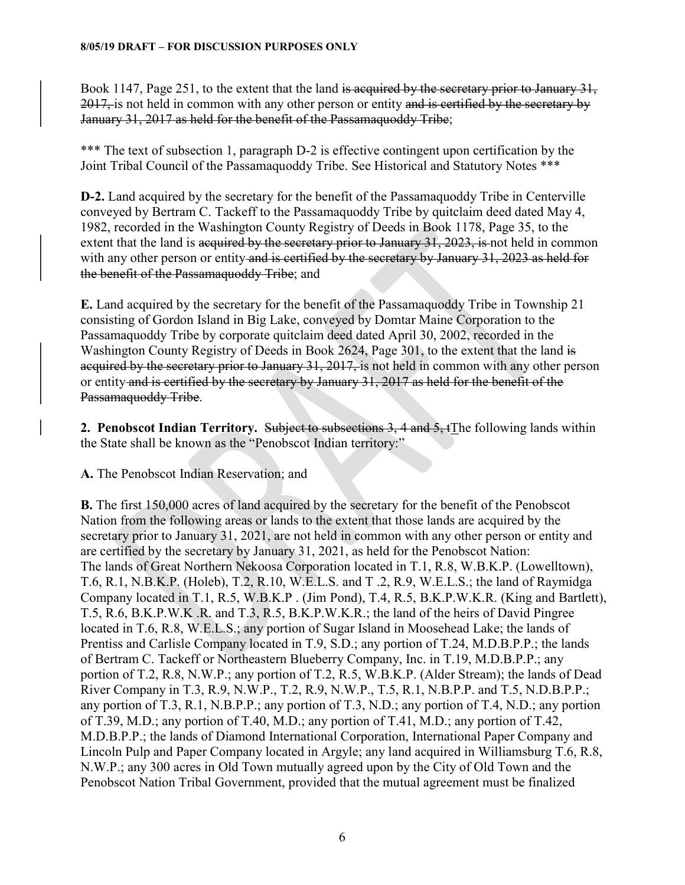#### 8/05/19 DRAFT – FOR DISCUSSION PURPOSES ONLY

Book 1147, Page 251, to the extent that the land is acquired by the secretary prior to January 31, 2017, is not held in common with any other person or entity and is certified by the secretary by January 31, 2017 as held for the benefit of the Passamaquoddy Tribe;

\*\*\* The text of subsection 1, paragraph D-2 is effective contingent upon certification by the Joint Tribal Council of the Passamaquoddy Tribe. See Historical and Statutory Notes \*\*\*

D-2. Land acquired by the secretary for the benefit of the Passamaquoddy Tribe in Centerville conveyed by Bertram C. Tackeff to the Passamaquoddy Tribe by quitclaim deed dated May 4, 1982, recorded in the Washington County Registry of Deeds in Book 1178, Page 35, to the extent that the land is appointed by the secretary prior to January 31, 2023, is not held in common with any other person or entity and is certified by the secretary by January 31, 2023 as held for the benefit of the Passamaquoddy Tribe; and

E. Land acquired by the secretary for the benefit of the Passamaquoddy Tribe in Township 21 consisting of Gordon Island in Big Lake, conveyed by Domtar Maine Corporation to the Passamaquoddy Tribe by corporate quitclaim deed dated April 30, 2002, recorded in the Washington County Registry of Deeds in Book 2624, Page 301, to the extent that the land is acquired by the secretary prior to January 31, 2017, is not held in common with any other person or entity and is certified by the secretary by January 31, 2017 as held for the benefit of the Passamaquoddy Tribe.

2. Penobscot Indian Territory. Subject to subsections  $3, 4$  and  $5, \pm$ The following lands within the State shall be known as the "Penobscot Indian territory:"

A. The Penobscot Indian Reservation; and

B. The first 150,000 acres of land acquired by the secretary for the benefit of the Penobscot Nation from the following areas or lands to the extent that those lands are acquired by the secretary prior to January 31, 2021, are not held in common with any other person or entity and are certified by the secretary by January 31, 2021, as held for the Penobscot Nation: The lands of Great Northern Nekoosa Corporation located in T.1, R.8, W.B.K.P. (Lowelltown), T.6, R.1, N.B.K.P. (Holeb), T.2, R.10, W.E.L.S. and T .2, R.9, W.E.L.S.; the land of Raymidga Company located in T.1, R.5, W.B.K.P . (Jim Pond), T.4, R.5, B.K.P.W.K.R. (King and Bartlett), T.5, R.6, B.K.P.W.K .R. and T.3, R.5, B.K.P.W.K.R.; the land of the heirs of David Pingree located in T.6, R.8, W.E.L.S.; any portion of Sugar Island in Moosehead Lake; the lands of Prentiss and Carlisle Company located in T.9, S.D.; any portion of T.24, M.D.B.P.P.; the lands of Bertram C. Tackeff or Northeastern Blueberry Company, Inc. in T.19, M.D.B.P.P.; any portion of T.2, R.8, N.W.P.; any portion of T.2, R.5, W.B.K.P. (Alder Stream); the lands of Dead River Company in T.3, R.9, N.W.P., T.2, R.9, N.W.P., T.5, R.1, N.B.P.P. and T.5, N.D.B.P.P.; any portion of T.3, R.1, N.B.P.P.; any portion of T.3, N.D.; any portion of T.4, N.D.; any portion of T.39, M.D.; any portion of T.40, M.D.; any portion of T.41, M.D.; any portion of T.42, M.D.B.P.P.; the lands of Diamond International Corporation, International Paper Company and Lincoln Pulp and Paper Company located in Argyle; any land acquired in Williamsburg T.6, R.8, N.W.P.; any 300 acres in Old Town mutually agreed upon by the City of Old Town and the Penobscot Nation Tribal Government, provided that the mutual agreement must be finalized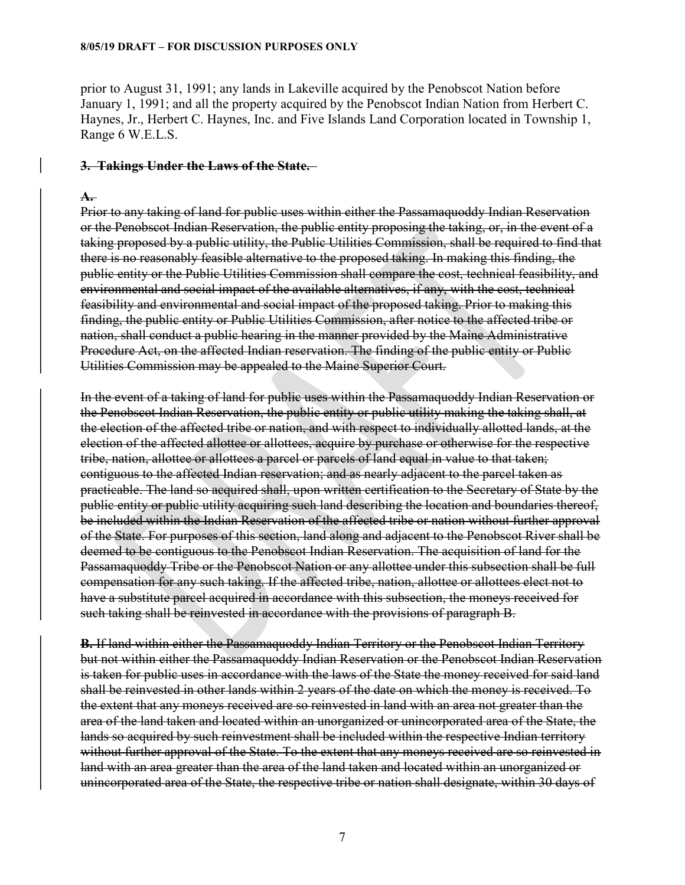prior to August 31, 1991; any lands in Lakeville acquired by the Penobscot Nation before January 1, 1991; and all the property acquired by the Penobscot Indian Nation from Herbert C. Haynes, Jr., Herbert C. Haynes, Inc. and Five Islands Land Corporation located in Township 1, Range 6 W.E.L.S.

#### 3. Takings Under the Laws of the State.

#### $A_{\cdot}$

Prior to any taking of land for public uses within either the Passamaquoddy Indian Reservation or the Penobscot Indian Reservation, the public entity proposing the taking, or, in the event of a taking proposed by a public utility, the Public Utilities Commission, shall be required to find that there is no reasonably feasible alternative to the proposed taking. In making this finding, the public entity or the Public Utilities Commission shall compare the cost, technical feasibility, and environmental and social impact of the available alternatives, if any, with the cost, technical feasibility and environmental and social impact of the proposed taking. Prior to making this finding, the public entity or Public Utilities Commission, after notice to the affected tribe or nation, shall conduct a public hearing in the manner provided by the Maine Administrative Procedure Act, on the affected Indian reservation. The finding of the public entity or Public Utilities Commission may be appealed to the Maine Superior Court.

In the event of a taking of land for public uses within the Passamaquoddy Indian Reservation or the Penobscot Indian Reservation, the public entity or public utility making the taking shall, at the election of the affected tribe or nation, and with respect to individually allotted lands, at the election of the affected allottee or allottees, acquire by purchase or otherwise for the respective tribe, nation, allottee or allottees a parcel or parcels of land equal in value to that taken; contiguous to the affected Indian reservation; and as nearly adjacent to the parcel taken as practicable. The land so acquired shall, upon written certification to the Secretary of State by the public entity or public utility acquiring such land describing the location and boundaries thereof, be included within the Indian Reservation of the affected tribe or nation without further approval of the State. For purposes of this section, land along and adjacent to the Penobscot River shall be deemed to be contiguous to the Penobscot Indian Reservation. The acquisition of land for the Passamaquoddy Tribe or the Penobscot Nation or any allottee under this subsection shall be full compensation for any such taking. If the affected tribe, nation, allottee or allottees elect not to have a substitute parcel acquired in accordance with this subsection, the moneys received for such taking shall be reinvested in accordance with the provisions of paragraph B.

B. If land within either the Passamaquoddy Indian Territory or the Penobscot Indian Territory but not within either the Passamaquoddy Indian Reservation or the Penobscot Indian Reservation is taken for public uses in accordance with the laws of the State the money received for said land shall be reinvested in other lands within 2 years of the date on which the money is received. To the extent that any moneys received are so reinvested in land with an area not greater than the area of the land taken and located within an unorganized or unincorporated area of the State, the lands so acquired by such reinvestment shall be included within the respective Indian territory without further approval of the State. To the extent that any moneys received are so reinvested in land with an area greater than the area of the land taken and located within an unorganized or unincorporated area of the State, the respective tribe or nation shall designate, within 30 days of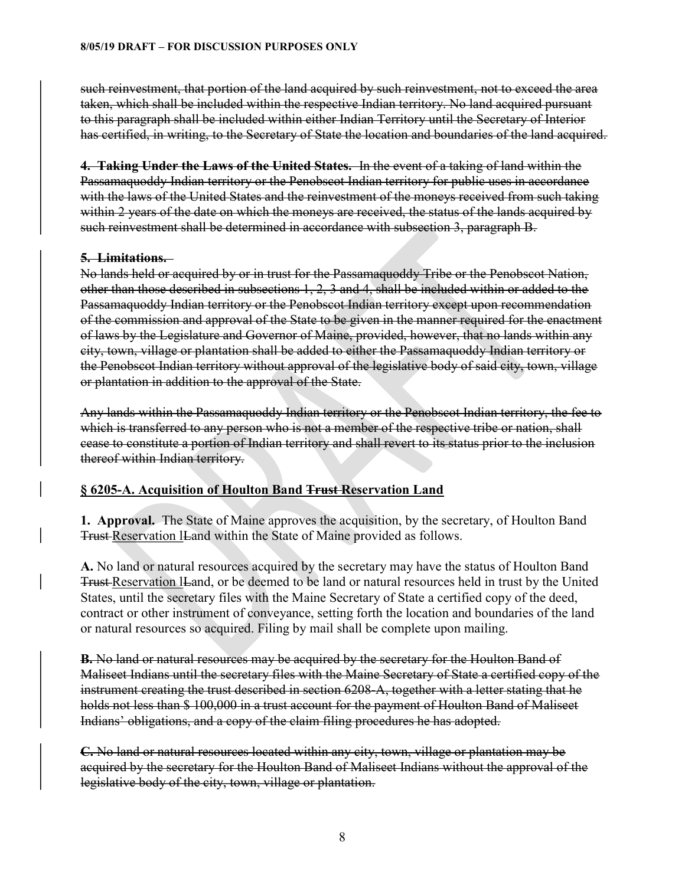such reinvestment, that portion of the land acquired by such reinvestment, not to exceed the area taken, which shall be included within the respective Indian territory. No land acquired pursuant to this paragraph shall be included within either Indian Territory until the Secretary of Interior has certified, in writing, to the Secretary of State the location and boundaries of the land acquired.

4. Taking Under the Laws of the United States. In the event of a taking of land within the Passamaquoddy Indian territory or the Penobscot Indian territory for public uses in accordance with the laws of the United States and the reinvestment of the moneys received from such taking within 2 years of the date on which the moneys are received, the status of the lands acquired by such reinvestment shall be determined in accordance with subsection 3, paragraph B.

### 5. Limitations.

No lands held or acquired by or in trust for the Passamaquoddy Tribe or the Penobscot Nation, other than those described in subsections 1, 2, 3 and 4, shall be included within or added to the Passamaquoddy Indian territory or the Penobscot Indian territory except upon recommendation of the commission and approval of the State to be given in the manner required for the enactment of laws by the Legislature and Governor of Maine, provided, however, that no lands within any city, town, village or plantation shall be added to either the Passamaquoddy Indian territory or the Penobscot Indian territory without approval of the legislative body of said city, town, village or plantation in addition to the approval of the State.

Any lands within the Passamaquoddy Indian territory or the Penobscot Indian territory, the fee to which is transferred to any person who is not a member of the respective tribe or nation, shall cease to constitute a portion of Indian territory and shall revert to its status prior to the inclusion thereof within Indian territory.

## § 6205-A. Acquisition of Houlton Band Trust Reservation Land

1. Approval. The State of Maine approves the acquisition, by the secretary, of Houlton Band Trust Reservation lLand within the State of Maine provided as follows.

A. No land or natural resources acquired by the secretary may have the status of Houlton Band Trust Reservation lLand, or be deemed to be land or natural resources held in trust by the United States, until the secretary files with the Maine Secretary of State a certified copy of the deed, contract or other instrument of conveyance, setting forth the location and boundaries of the land or natural resources so acquired. Filing by mail shall be complete upon mailing.

B. No land or natural resources may be acquired by the secretary for the Houlton Band of Maliseet Indians until the secretary files with the Maine Secretary of State a certified copy of the instrument creating the trust described in section 6208-A, together with a letter stating that he holds not less than \$ 100,000 in a trust account for the payment of Houlton Band of Maliseet Indians' obligations, and a copy of the claim filing procedures he has adopted.

C. No land or natural resources located within any city, town, village or plantation may be acquired by the secretary for the Houlton Band of Maliseet Indians without the approval of the legislative body of the city, town, village or plantation.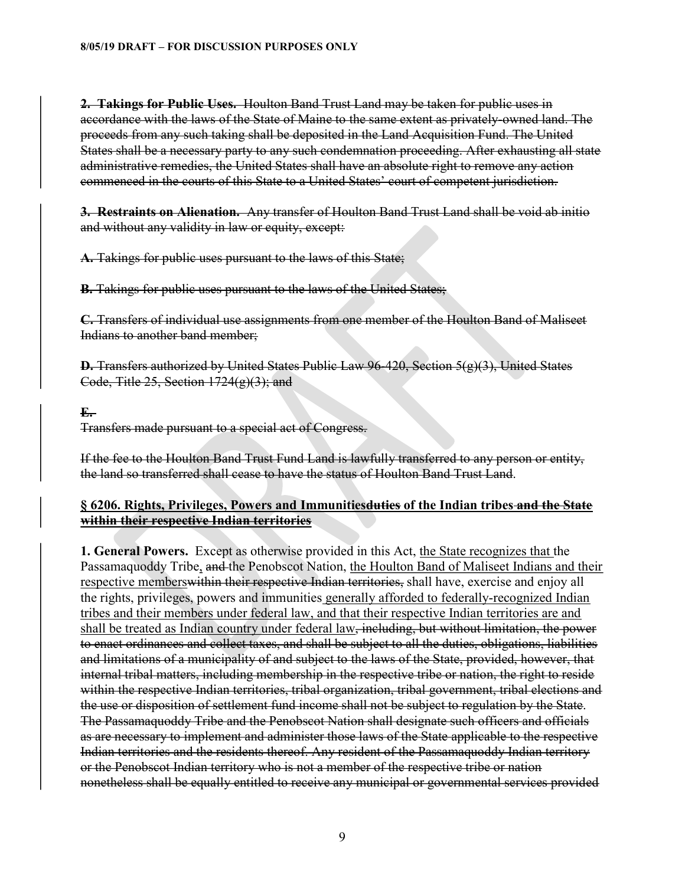2. Takings for Public Uses. Houlton Band Trust Land may be taken for public uses in accordance with the laws of the State of Maine to the same extent as privately-owned land. The proceeds from any such taking shall be deposited in the Land Acquisition Fund. The United States shall be a necessary party to any such condemnation proceeding. After exhausting all state administrative remedies, the United States shall have an absolute right to remove any action commenced in the courts of this State to a United States' court of competent jurisdiction.

3. Restraints on Alienation. Any transfer of Houlton Band Trust Land shall be void ab initio and without any validity in law or equity, except:

A. Takings for public uses pursuant to the laws of this State;

**B.** Takings for public uses pursuant to the laws of the United States;

C. Transfers of individual use assignments from one member of the Houlton Band of Maliseet Indians to another band member;

D. Transfers authorized by United States Public Law 96-420, Section 5(g)(3), United States Code, Title 25, Section  $1724(g)(3)$ ; and

#### $E_{\perp}$

Transfers made pursuant to a special act of Congress.

If the fee to the Houlton Band Trust Fund Land is lawfully transferred to any person or entity, the land so transferred shall cease to have the status of Houlton Band Trust Land.

#### § 6206. Rights, Privileges, Powers and Immunitiesduties of the Indian tribes and the State within their respective Indian territories

**1. General Powers.** Except as otherwise provided in this Act, the State recognizes that the Passamaquoddy Tribe, and the Penobscot Nation, the Houlton Band of Maliseet Indians and their respective memberswithin their respective Indian territories, shall have, exercise and enjoy all the rights, privileges, powers and immunities generally afforded to federally-recognized Indian tribes and their members under federal law, and that their respective Indian territories are and shall be treated as Indian country under federal law, including, but without limitation, the power to enact ordinances and collect taxes, and shall be subject to all the duties, obligations, liabilities and limitations of a municipality of and subject to the laws of the State, provided, however, that internal tribal matters, including membership in the respective tribe or nation, the right to reside within the respective Indian territories, tribal organization, tribal government, tribal elections and the use or disposition of settlement fund income shall not be subject to regulation by the State. The Passamaquoddy Tribe and the Penobscot Nation shall designate such officers and officials as are necessary to implement and administer those laws of the State applicable to the respective Indian territories and the residents thereof. Any resident of the Passamaquoddy Indian territory or the Penobscot Indian territory who is not a member of the respective tribe or nation nonetheless shall be equally entitled to receive any municipal or governmental services provided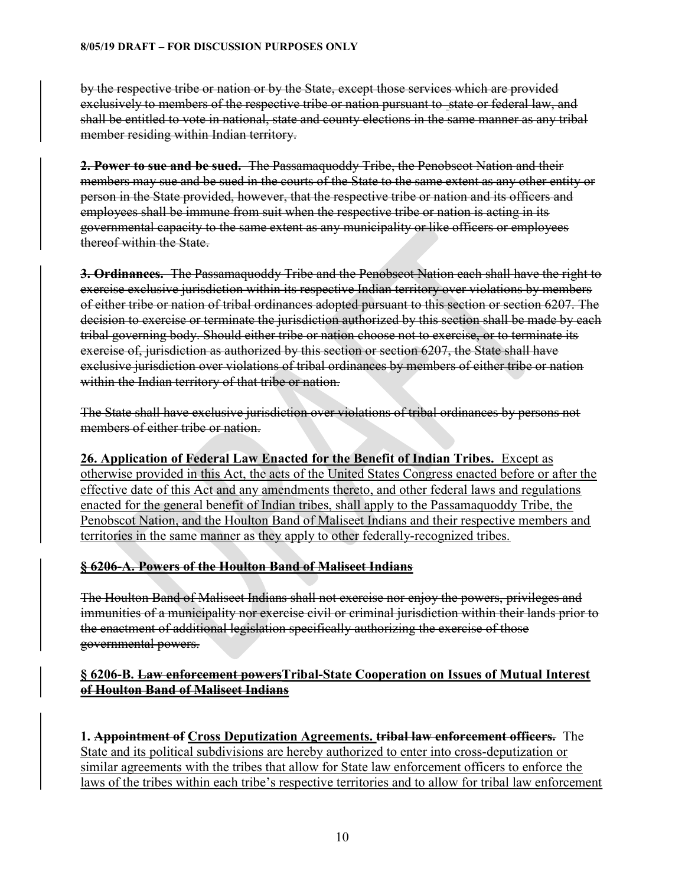by the respective tribe or nation or by the State, except those services which are provided exclusively to members of the respective tribe or nation pursuant to state or federal law, and shall be entitled to vote in national, state and county elections in the same manner as any tribal member residing within Indian territory.

2. Power to sue and be sued. The Passamaquoddy Tribe, the Penobscot Nation and their members may sue and be sued in the courts of the State to the same extent as any other entity or person in the State provided, however, that the respective tribe or nation and its officers and employees shall be immune from suit when the respective tribe or nation is acting in its governmental capacity to the same extent as any municipality or like officers or employees thereof within the State.

**3. Ordinances.** The Passamaquoddy Tribe and the Penobscot Nation each shall have the right to exercise exclusive jurisdiction within its respective Indian territory over violations by members of either tribe or nation of tribal ordinances adopted pursuant to this section or section 6207. The decision to exercise or terminate the jurisdiction authorized by this section shall be made by each tribal governing body. Should either tribe or nation choose not to exercise, or to terminate its exercise of, jurisdiction as authorized by this section or section 6207, the State shall have exclusive jurisdiction over violations of tribal ordinances by members of either tribe or nation within the Indian territory of that tribe or nation.

The State shall have exclusive jurisdiction over violations of tribal ordinances by persons not members of either tribe or nation.

26. Application of Federal Law Enacted for the Benefit of Indian Tribes. Except as otherwise provided in this Act, the acts of the United States Congress enacted before or after the effective date of this Act and any amendments thereto, and other federal laws and regulations enacted for the general benefit of Indian tribes, shall apply to the Passamaquoddy Tribe, the Penobscot Nation, and the Houlton Band of Maliseet Indians and their respective members and territories in the same manner as they apply to other federally-recognized tribes.

## § 6206-A. Powers of the Houlton Band of Maliseet Indians

The Houlton Band of Maliseet Indians shall not exercise nor enjoy the powers, privileges and immunities of a municipality nor exercise civil or criminal jurisdiction within their lands prior to the enactment of additional legislation specifically authorizing the exercise of those governmental powers.

## § 6206-B. Law enforcement powersTribal-State Cooperation on Issues of Mutual Interest of Houlton Band of Maliseet Indians

1. Appointment of Cross Deputization Agreements. tribal law enforcement officers. The State and its political subdivisions are hereby authorized to enter into cross-deputization or similar agreements with the tribes that allow for State law enforcement officers to enforce the laws of the tribes within each tribe's respective territories and to allow for tribal law enforcement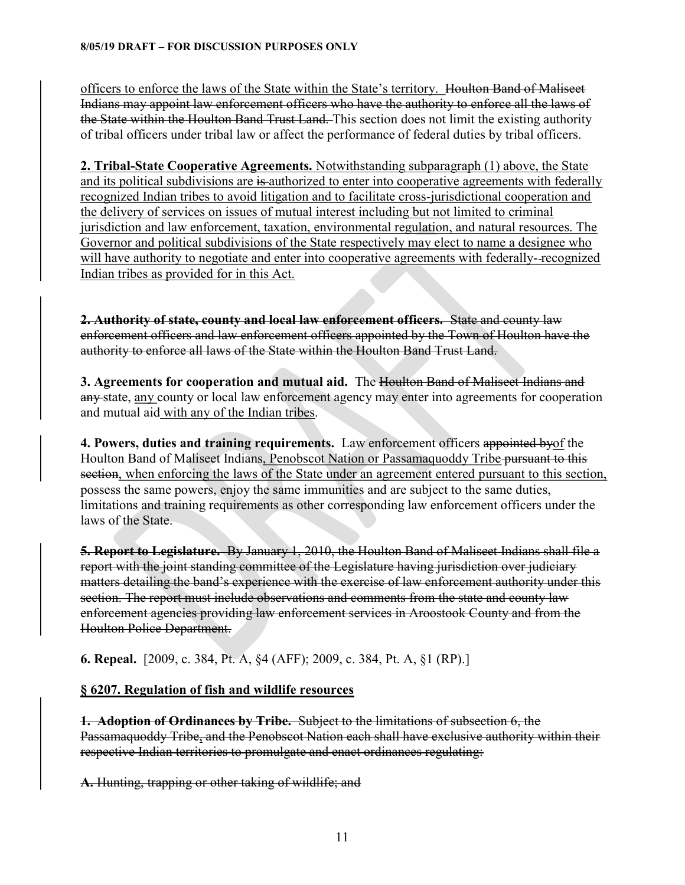officers to enforce the laws of the State within the State's territory. Houlton Band of Maliseet Indians may appoint law enforcement officers who have the authority to enforce all the laws of the State within the Houlton Band Trust Land. This section does not limit the existing authority of tribal officers under tribal law or affect the performance of federal duties by tribal officers.

2. Tribal-State Cooperative Agreements. Notwithstanding subparagraph (1) above, the State and its political subdivisions are is authorized to enter into cooperative agreements with federally recognized Indian tribes to avoid litigation and to facilitate cross-jurisdictional cooperation and the delivery of services on issues of mutual interest including but not limited to criminal jurisdiction and law enforcement, taxation, environmental regulation, and natural resources. The Governor and political subdivisions of the State respectively may elect to name a designee who will have authority to negotiate and enter into cooperative agreements with federally-recognized Indian tribes as provided for in this Act.

2. Authority of state, county and local law enforcement officers. State and county law enforcement officers and law enforcement officers appointed by the Town of Houlton have the authority to enforce all laws of the State within the Houlton Band Trust Land.

3. Agreements for cooperation and mutual aid. The Houlton Band of Maliseet Indians and any state, any county or local law enforcement agency may enter into agreements for cooperation and mutual aid with any of the Indian tribes.

4. Powers, duties and training requirements. Law enforcement officers appointed by of the Houlton Band of Maliseet Indians, Penobscot Nation or Passamaquoddy Tribe pursuant to this section, when enforcing the laws of the State under an agreement entered pursuant to this section, possess the same powers, enjoy the same immunities and are subject to the same duties, limitations and training requirements as other corresponding law enforcement officers under the laws of the State.

5. Report to Legislature. By January 1, 2010, the Houlton Band of Maliseet Indians shall file a report with the joint standing committee of the Legislature having jurisdiction over judiciary matters detailing the band's experience with the exercise of law enforcement authority under this section. The report must include observations and comments from the state and county law enforcement agencies providing law enforcement services in Aroostook County and from the Houlton Police Department.

6. Repeal. [2009, c. 384, Pt. A, §4 (AFF); 2009, c. 384, Pt. A, §1 (RP).]

## § 6207. Regulation of fish and wildlife resources

1. Adoption of Ordinances by Tribe. Subject to the limitations of subsection 6, the Passamaquoddy Tribe, and the Penobscot Nation each shall have exclusive authority within their respective Indian territories to promulgate and enact ordinances regulating:

A. Hunting, trapping or other taking of wildlife; and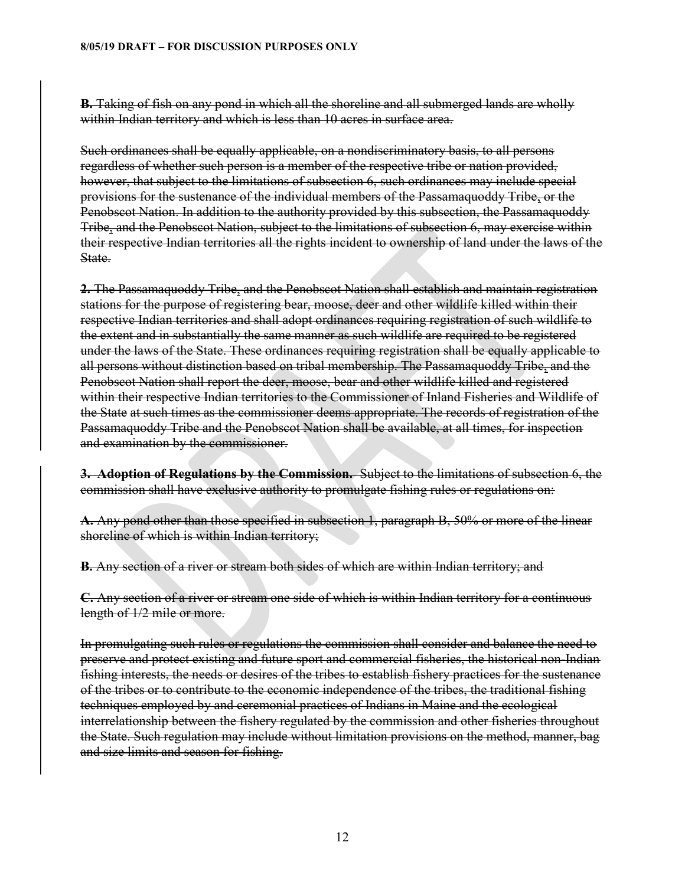B. Taking of fish on any pond in which all the shoreline and all submerged lands are wholly within Indian territory and which is less than 10 acres in surface area.

Such ordinances shall be equally applicable, on a nondiscriminatory basis, to all persons regardless of whether such person is a member of the respective tribe or nation provided, however, that subject to the limitations of subsection 6, such ordinances may include special provisions for the sustenance of the individual members of the Passamaquoddy Tribe, or the Penobscot Nation. In addition to the authority provided by this subsection, the Passamaquoddy Tribe, and the Penobscot Nation, subject to the limitations of subsection 6, may exercise within their respective Indian territories all the rights incident to ownership of land under the laws of the State.

2. The Passamaquoddy Tribe, and the Penobscot Nation shall establish and maintain registration stations for the purpose of registering bear, moose, deer and other wildlife killed within their respective Indian territories and shall adopt ordinances requiring registration of such wildlife to the extent and in substantially the same manner as such wildlife are required to be registered under the laws of the State. These ordinances requiring registration shall be equally applicable to all persons without distinction based on tribal membership. The Passamaquoddy Tribe, and the Penobscot Nation shall report the deer, moose, bear and other wildlife killed and registered within their respective Indian territories to the Commissioner of Inland Fisheries and Wildlife of the State at such times as the commissioner deems appropriate. The records of registration of the Passamaquoddy Tribe and the Penobscot Nation shall be available, at all times, for inspection and examination by the commissioner.

3. Adoption of Regulations by the Commission. Subject to the limitations of subsection 6, the commission shall have exclusive authority to promulgate fishing rules or regulations on:

A. Any pond other than those specified in subsection 1, paragraph B, 50% or more of the linear shoreline of which is within Indian territory;

B. Any section of a river or stream both sides of which are within Indian territory; and

C. Any section of a river or stream one side of which is within Indian territory for a continuous length of  $1/2$  mile or more.

In promulgating such rules or regulations the commission shall consider and balance the need to preserve and protect existing and future sport and commercial fisheries, the historical non-Indian fishing interests, the needs or desires of the tribes to establish fishery practices for the sustenance of the tribes or to contribute to the economic independence of the tribes, the traditional fishing techniques employed by and ceremonial practices of Indians in Maine and the ecological interrelationship between the fishery regulated by the commission and other fisheries throughout the State. Such regulation may include without limitation provisions on the method, manner, bag and size limits and season for fishing.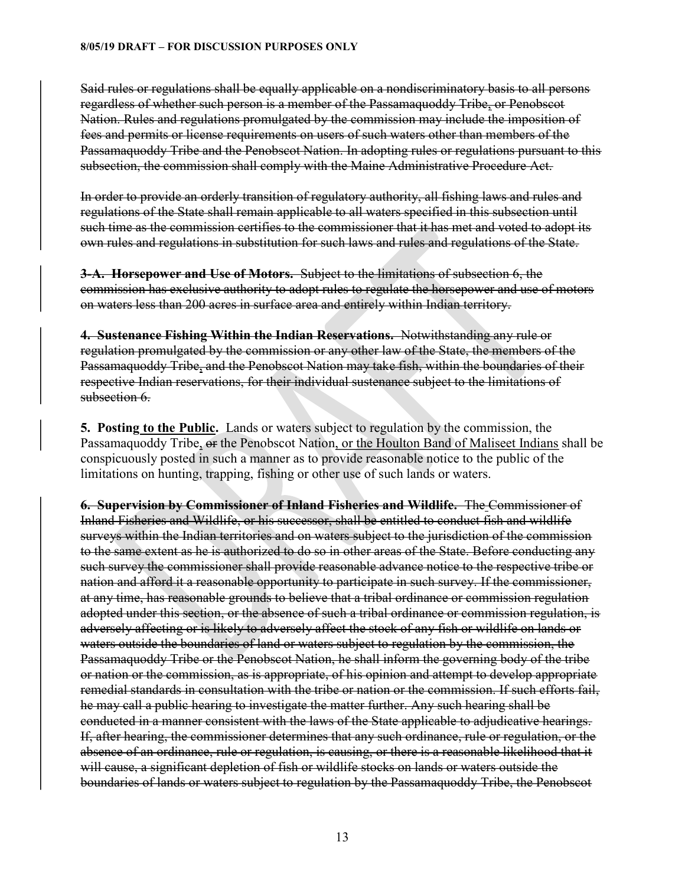Said rules or regulations shall be equally applicable on a nondiscriminatory basis to all persons regardless of whether such person is a member of the Passamaquoddy Tribe, or Penobscot Nation. Rules and regulations promulgated by the commission may include the imposition of fees and permits or license requirements on users of such waters other than members of the Passamaquoddy Tribe and the Penobscot Nation. In adopting rules or regulations pursuant to this subsection, the commission shall comply with the Maine Administrative Procedure Act.

In order to provide an orderly transition of regulatory authority, all fishing laws and rules and regulations of the State shall remain applicable to all waters specified in this subsection until such time as the commission certifies to the commissioner that it has met and voted to adopt its own rules and regulations in substitution for such laws and rules and regulations of the State.

**3-A. Horsepower and Use of Motors.** Subject to the limitations of subsection 6, the commission has exclusive authority to adopt rules to regulate the horsepower and use of motors on waters less than 200 acres in surface area and entirely within Indian territory.

4. Sustenance Fishing Within the Indian Reservations. Notwithstanding any rule or regulation promulgated by the commission or any other law of the State, the members of the Passamaquoddy Tribe, and the Penobscot Nation may take fish, within the boundaries of their respective Indian reservations, for their individual sustenance subject to the limitations of subsection 6.

**5. Posting to the Public.** Lands or waters subject to regulation by the commission, the Passamaquoddy Tribe, or the Penobscot Nation, or the Houlton Band of Maliseet Indians shall be conspicuously posted in such a manner as to provide reasonable notice to the public of the limitations on hunting, trapping, fishing or other use of such lands or waters.

6. Supervision by Commissioner of Inland Fisheries and Wildlife. The Commissioner of Inland Fisheries and Wildlife, or his successor, shall be entitled to conduct fish and wildlife surveys within the Indian territories and on waters subject to the jurisdiction of the commission to the same extent as he is authorized to do so in other areas of the State. Before conducting any such survey the commissioner shall provide reasonable advance notice to the respective tribe or nation and afford it a reasonable opportunity to participate in such survey. If the commissioner, at any time, has reasonable grounds to believe that a tribal ordinance or commission regulation adopted under this section, or the absence of such a tribal ordinance or commission regulation, is adversely affecting or is likely to adversely affect the stock of any fish or wildlife on lands or waters outside the boundaries of land or waters subject to regulation by the commission, the Passamaquoddy Tribe or the Penobscot Nation, he shall inform the governing body of the tribe or nation or the commission, as is appropriate, of his opinion and attempt to develop appropriate remedial standards in consultation with the tribe or nation or the commission. If such efforts fail, he may call a public hearing to investigate the matter further. Any such hearing shall be conducted in a manner consistent with the laws of the State applicable to adjudicative hearings. If, after hearing, the commissioner determines that any such ordinance, rule or regulation, or the absence of an ordinance, rule or regulation, is causing, or there is a reasonable likelihood that it will cause, a significant depletion of fish or wildlife stocks on lands or waters outside the boundaries of lands or waters subject to regulation by the Passamaquoddy Tribe, the Penobscot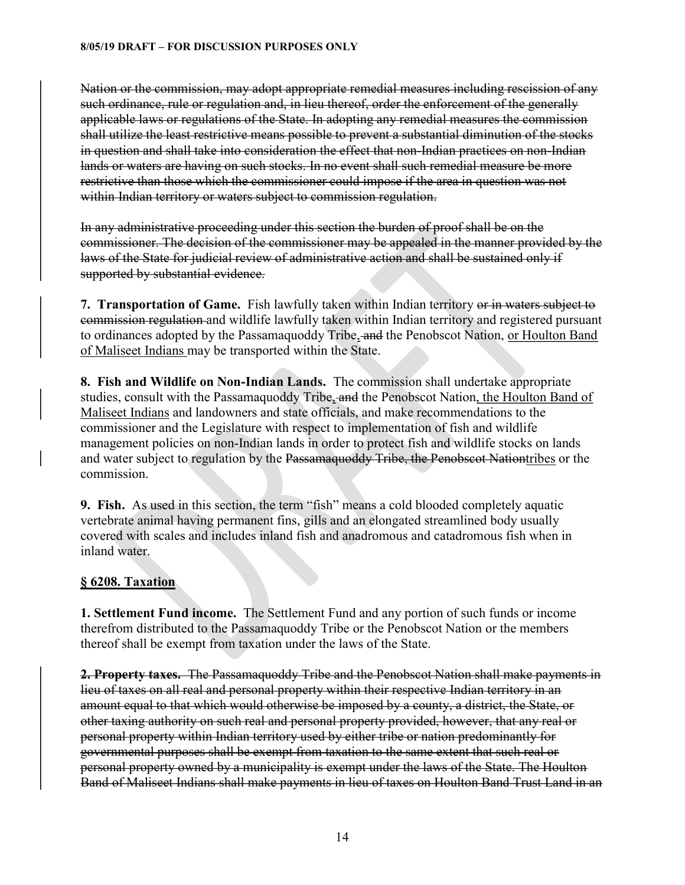Nation or the commission, may adopt appropriate remedial measures including rescission of any such ordinance, rule or regulation and, in lieu thereof, order the enforcement of the generally applicable laws or regulations of the State. In adopting any remedial measures the commission shall utilize the least restrictive means possible to prevent a substantial diminution of the stocks in question and shall take into consideration the effect that non-Indian practices on non-Indian lands or waters are having on such stocks. In no event shall such remedial measure be more restrictive than those which the commissioner could impose if the area in question was not within Indian territory or waters subject to commission regulation.

In any administrative proceeding under this section the burden of proof shall be on the commissioner. The decision of the commissioner may be appealed in the manner provided by the laws of the State for judicial review of administrative action and shall be sustained only if supported by substantial evidence.

7. Transportation of Game. Fish lawfully taken within Indian territory or in waters subject to commission regulation and wildlife lawfully taken within Indian territory and registered pursuant to ordinances adopted by the Passamaquoddy Tribe, and the Penobscot Nation, or Houlton Band of Maliseet Indians may be transported within the State.

8. Fish and Wildlife on Non-Indian Lands. The commission shall undertake appropriate studies, consult with the Passamaquoddy Tribe, and the Penobscot Nation, the Houlton Band of Maliseet Indians and landowners and state officials, and make recommendations to the commissioner and the Legislature with respect to implementation of fish and wildlife management policies on non-Indian lands in order to protect fish and wildlife stocks on lands and water subject to regulation by the Passamaquoddy Tribe, the Penobscot Nationtribes or the commission.

9. Fish. As used in this section, the term "fish" means a cold blooded completely aquatic vertebrate animal having permanent fins, gills and an elongated streamlined body usually covered with scales and includes inland fish and anadromous and catadromous fish when in inland water.

## § 6208. Taxation

1. Settlement Fund income. The Settlement Fund and any portion of such funds or income therefrom distributed to the Passamaquoddy Tribe or the Penobscot Nation or the members thereof shall be exempt from taxation under the laws of the State.

2. Property taxes. The Passamaquoddy Tribe and the Penobscot Nation shall make payments in lieu of taxes on all real and personal property within their respective Indian territory in an amount equal to that which would otherwise be imposed by a county, a district, the State, or other taxing authority on such real and personal property provided, however, that any real or personal property within Indian territory used by either tribe or nation predominantly for governmental purposes shall be exempt from taxation to the same extent that such real or personal property owned by a municipality is exempt under the laws of the State. The Houlton Band of Maliseet Indians shall make payments in lieu of taxes on Houlton Band Trust Land in an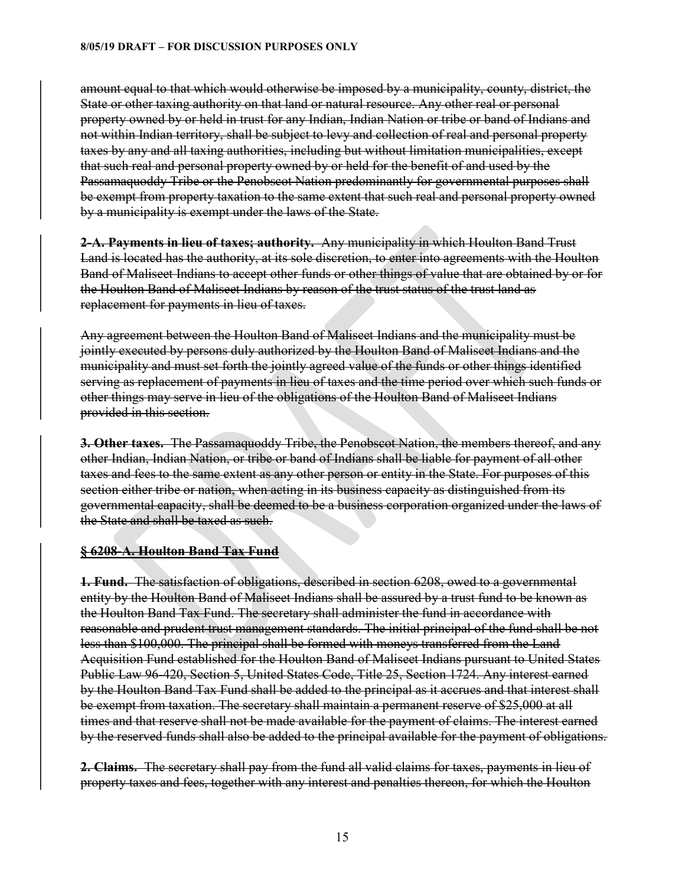amount equal to that which would otherwise be imposed by a municipality, county, district, the State or other taxing authority on that land or natural resource. Any other real or personal property owned by or held in trust for any Indian, Indian Nation or tribe or band of Indians and not within Indian territory, shall be subject to levy and collection of real and personal property taxes by any and all taxing authorities, including but without limitation municipalities, except that such real and personal property owned by or held for the benefit of and used by the Passamaquoddy Tribe or the Penobscot Nation predominantly for governmental purposes shall be exempt from property taxation to the same extent that such real and personal property owned by a municipality is exempt under the laws of the State.

2-A. Payments in lieu of taxes; authority. Any municipality in which Houlton Band Trust Land is located has the authority, at its sole discretion, to enter into agreements with the Houlton Band of Maliseet Indians to accept other funds or other things of value that are obtained by or for the Houlton Band of Maliseet Indians by reason of the trust status of the trust land as replacement for payments in lieu of taxes.

Any agreement between the Houlton Band of Maliseet Indians and the municipality must be jointly executed by persons duly authorized by the Houlton Band of Maliseet Indians and the municipality and must set forth the jointly agreed value of the funds or other things identified serving as replacement of payments in lieu of taxes and the time period over which such funds or other things may serve in lieu of the obligations of the Houlton Band of Maliseet Indians provided in this section.

3. Other taxes. The Passamaquoddy Tribe, the Penobscot Nation, the members thereof, and any other Indian, Indian Nation, or tribe or band of Indians shall be liable for payment of all other taxes and fees to the same extent as any other person or entity in the State. For purposes of this section either tribe or nation, when acting in its business capacity as distinguished from its governmental capacity, shall be deemed to be a business corporation organized under the laws of the State and shall be taxed as such.

## § 6208-A. Houlton Band Tax Fund

1. Fund. The satisfaction of obligations, described in section 6208, owed to a governmental entity by the Houlton Band of Maliseet Indians shall be assured by a trust fund to be known as the Houlton Band Tax Fund. The secretary shall administer the fund in accordance with reasonable and prudent trust management standards. The initial principal of the fund shall be not less than \$100,000. The principal shall be formed with moneys transferred from the Land Acquisition Fund established for the Houlton Band of Maliseet Indians pursuant to United States Public Law 96-420, Section 5, United States Code, Title 25, Section 1724. Any interest earned by the Houlton Band Tax Fund shall be added to the principal as it accrues and that interest shall be exempt from taxation. The secretary shall maintain a permanent reserve of \$25,000 at all times and that reserve shall not be made available for the payment of claims. The interest earned by the reserved funds shall also be added to the principal available for the payment of obligations.

2. Claims. The secretary shall pay from the fund all valid claims for taxes, payments in lieu of property taxes and fees, together with any interest and penalties thereon, for which the Houlton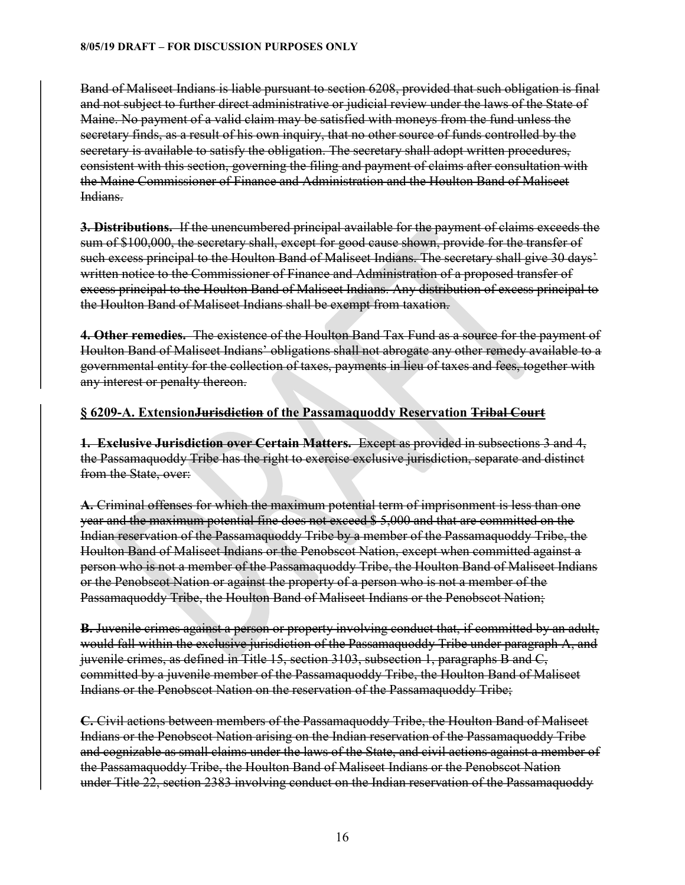Band of Maliseet Indians is liable pursuant to section 6208, provided that such obligation is final and not subject to further direct administrative or judicial review under the laws of the State of Maine. No payment of a valid claim may be satisfied with moneys from the fund unless the secretary finds, as a result of his own inquiry, that no other source of funds controlled by the secretary is available to satisfy the obligation. The secretary shall adopt written procedures, consistent with this section, governing the filing and payment of claims after consultation with the Maine Commissioner of Finance and Administration and the Houlton Band of Maliseet Indians.

3. Distributions. If the unencumbered principal available for the payment of claims exceeds the sum of \$100,000, the secretary shall, except for good cause shown, provide for the transfer of such excess principal to the Houlton Band of Maliseet Indians. The secretary shall give 30 days' written notice to the Commissioner of Finance and Administration of a proposed transfer of excess principal to the Houlton Band of Maliseet Indians. Any distribution of excess principal to the Houlton Band of Maliseet Indians shall be exempt from taxation.

4. Other remedies. The existence of the Houlton Band Tax Fund as a source for the payment of Houlton Band of Maliseet Indians' obligations shall not abrogate any other remedy available to a governmental entity for the collection of taxes, payments in lieu of taxes and fees, together with any interest or penalty thereon.

### § 6209-A. ExtensionJurisdiction of the Passamaquoddy Reservation Tribal Court

1. Exclusive Jurisdiction over Certain Matters. Except as provided in subsections 3 and 4, the Passamaquoddy Tribe has the right to exercise exclusive jurisdiction, separate and distinct from the State, over:

A. Criminal offenses for which the maximum potential term of imprisonment is less than one year and the maximum potential fine does not exceed \$ 5,000 and that are committed on the Indian reservation of the Passamaquoddy Tribe by a member of the Passamaquoddy Tribe, the Houlton Band of Maliseet Indians or the Penobscot Nation, except when committed against a person who is not a member of the Passamaquoddy Tribe, the Houlton Band of Maliseet Indians or the Penobscot Nation or against the property of a person who is not a member of the Passamaquoddy Tribe, the Houlton Band of Maliseet Indians or the Penobscot Nation;

B. Juvenile crimes against a person or property involving conduct that, if committed by an adult, would fall within the exclusive jurisdiction of the Passamaquoddy Tribe under paragraph A, and juvenile crimes, as defined in Title 15, section 3103, subsection 1, paragraphs B and C, committed by a juvenile member of the Passamaquoddy Tribe, the Houlton Band of Maliseet Indians or the Penobscot Nation on the reservation of the Passamaquoddy Tribe;

C. Civil actions between members of the Passamaquoddy Tribe, the Houlton Band of Maliseet Indians or the Penobscot Nation arising on the Indian reservation of the Passamaquoddy Tribe and cognizable as small claims under the laws of the State, and civil actions against a member of the Passamaquoddy Tribe, the Houlton Band of Maliseet Indians or the Penobscot Nation under Title 22, section 2383 involving conduct on the Indian reservation of the Passamaquoddy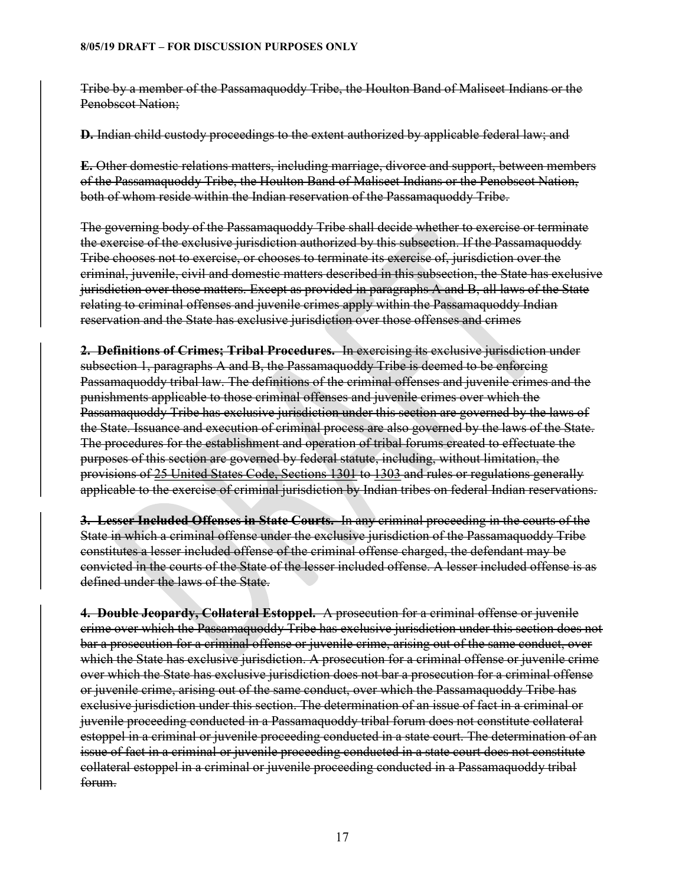Tribe by a member of the Passamaquoddy Tribe, the Houlton Band of Maliseet Indians or the Penobscot Nation;

D. Indian child custody proceedings to the extent authorized by applicable federal law; and

E. Other domestic relations matters, including marriage, divorce and support, between members of the Passamaquoddy Tribe, the Houlton Band of Maliseet Indians or the Penobscot Nation, both of whom reside within the Indian reservation of the Passamaquoddy Tribe.

The governing body of the Passamaquoddy Tribe shall decide whether to exercise or terminate the exercise of the exclusive jurisdiction authorized by this subsection. If the Passamaquoddy Tribe chooses not to exercise, or chooses to terminate its exercise of, jurisdiction over the criminal, juvenile, civil and domestic matters described in this subsection, the State has exclusive jurisdiction over those matters. Except as provided in paragraphs A and B, all laws of the State relating to criminal offenses and juvenile crimes apply within the Passamaquoddy Indian reservation and the State has exclusive jurisdiction over those offenses and crimes

2. Definitions of Crimes; Tribal Procedures. In exercising its exclusive jurisdiction under subsection 1, paragraphs A and B, the Passamaquoddy Tribe is deemed to be enforcing Passamaquoddy tribal law. The definitions of the criminal offenses and juvenile crimes and the punishments applicable to those criminal offenses and juvenile crimes over which the Passamaquoddy Tribe has exclusive jurisdiction under this section are governed by the laws of the State. Issuance and execution of criminal process are also governed by the laws of the State. The procedures for the establishment and operation of tribal forums created to effectuate the purposes of this section are governed by federal statute, including, without limitation, the provisions of 25 United States Code, Sections 1301 to 1303 and rules or regulations generally applicable to the exercise of criminal jurisdiction by Indian tribes on federal Indian reservations.

3. Lesser Included Offenses in State Courts. In any criminal proceeding in the courts of the State in which a criminal offense under the exclusive jurisdiction of the Passamaquoddy Tribe constitutes a lesser included offense of the criminal offense charged, the defendant may be convicted in the courts of the State of the lesser included offense. A lesser included offense is as defined under the laws of the State.

4. Double Jeopardy, Collateral Estoppel. A prosecution for a criminal offense or juvenile crime over which the Passamaquoddy Tribe has exclusive jurisdiction under this section does not bar a prosecution for a criminal offense or juvenile crime, arising out of the same conduct, over which the State has exclusive jurisdiction. A prosecution for a criminal offense or juvenile crime over which the State has exclusive jurisdiction does not bar a prosecution for a criminal offense or juvenile crime, arising out of the same conduct, over which the Passamaquoddy Tribe has exclusive jurisdiction under this section. The determination of an issue of fact in a criminal or juvenile proceeding conducted in a Passamaquoddy tribal forum does not constitute collateral estoppel in a criminal or juvenile proceeding conducted in a state court. The determination of an issue of fact in a criminal or juvenile proceeding conducted in a state court does not constitute collateral estoppel in a criminal or juvenile proceeding conducted in a Passamaquoddy tribal forum.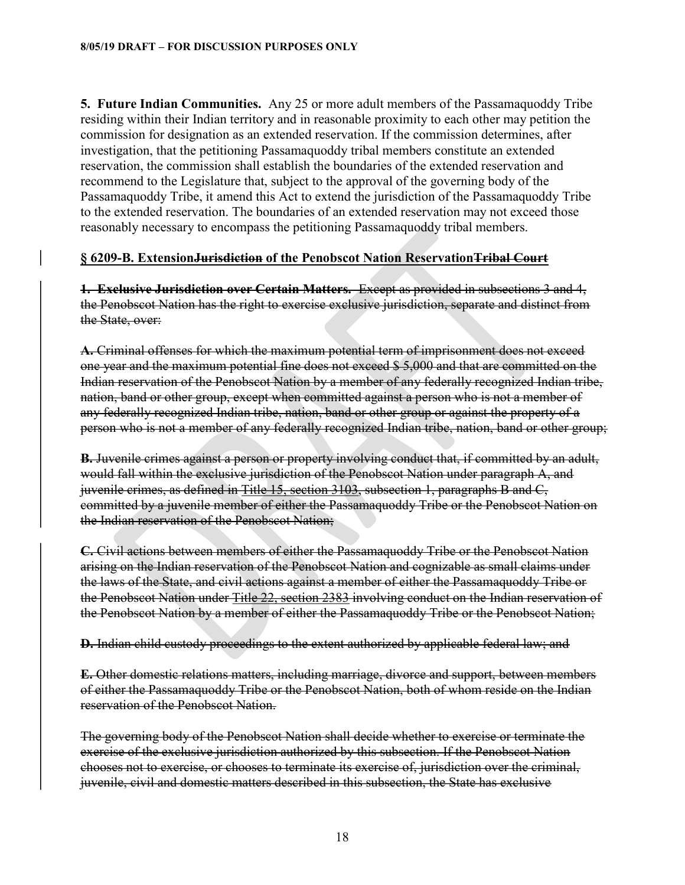5. Future Indian Communities. Any 25 or more adult members of the Passamaquoddy Tribe residing within their Indian territory and in reasonable proximity to each other may petition the commission for designation as an extended reservation. If the commission determines, after investigation, that the petitioning Passamaquoddy tribal members constitute an extended reservation, the commission shall establish the boundaries of the extended reservation and recommend to the Legislature that, subject to the approval of the governing body of the Passamaquoddy Tribe, it amend this Act to extend the jurisdiction of the Passamaquoddy Tribe to the extended reservation. The boundaries of an extended reservation may not exceed those reasonably necessary to encompass the petitioning Passamaquoddy tribal members.

## § 6209-B. Extension Jurisdiction of the Penobscot Nation Reservation Tribal Court

1. Exclusive Jurisdiction over Certain Matters. Except as provided in subsections 3 and 4, the Penobscot Nation has the right to exercise exclusive jurisdiction, separate and distinct from the State, over:

A. Criminal offenses for which the maximum potential term of imprisonment does not exceed one year and the maximum potential fine does not exceed \$ 5,000 and that are committed on the Indian reservation of the Penobscot Nation by a member of any federally recognized Indian tribe, nation, band or other group, except when committed against a person who is not a member of any federally recognized Indian tribe, nation, band or other group or against the property of a person who is not a member of any federally recognized Indian tribe, nation, band or other group;

B. Juvenile crimes against a person or property involving conduct that, if committed by an adult, would fall within the exclusive jurisdiction of the Penobscot Nation under paragraph A, and juvenile crimes, as defined in Title 15, section 3103, subsection 1, paragraphs B and C, committed by a juvenile member of either the Passamaquoddy Tribe or the Penobscot Nation on the Indian reservation of the Penobscot Nation;

C. Civil actions between members of either the Passamaquoddy Tribe or the Penobscot Nation arising on the Indian reservation of the Penobscot Nation and cognizable as small claims under the laws of the State, and civil actions against a member of either the Passamaquoddy Tribe or the Penobscot Nation under Title 22, section 2383 involving conduct on the Indian reservation of the Penobscot Nation by a member of either the Passamaquoddy Tribe or the Penobscot Nation;

**D.** Indian child custody proceedings to the extent authorized by applicable federal law; and

E. Other domestic relations matters, including marriage, divorce and support, between members of either the Passamaquoddy Tribe or the Penobscot Nation, both of whom reside on the Indian reservation of the Penobscot Nation.

The governing body of the Penobscot Nation shall decide whether to exercise or terminate the exercise of the exclusive jurisdiction authorized by this subsection. If the Penobscot Nation chooses not to exercise, or chooses to terminate its exercise of, jurisdiction over the criminal, juvenile, civil and domestic matters described in this subsection, the State has exclusive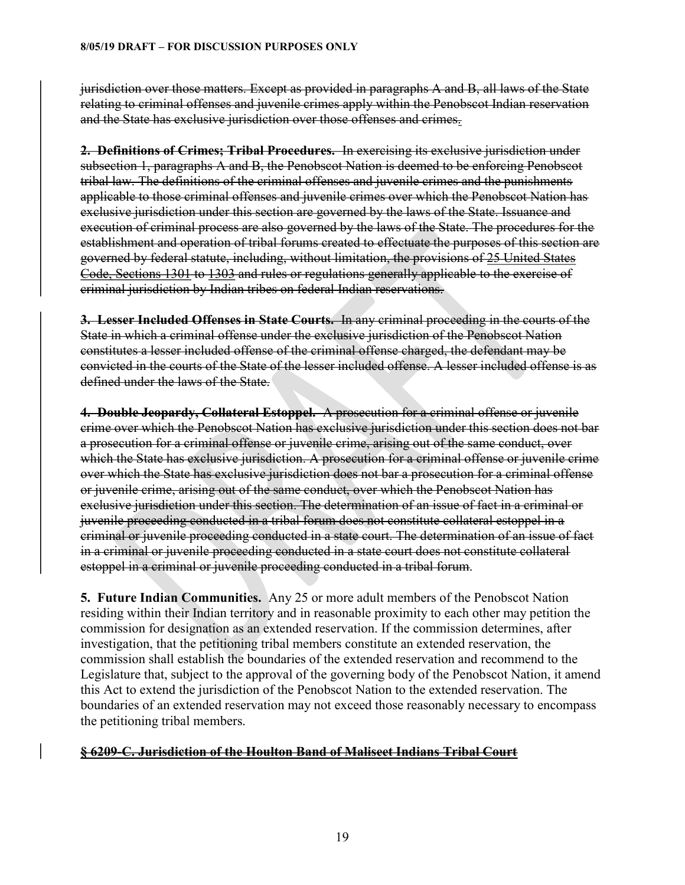jurisdiction over those matters. Except as provided in paragraphs A and B, all laws of the State relating to criminal offenses and juvenile crimes apply within the Penobscot Indian reservation and the State has exclusive jurisdiction over those offenses and crimes.

2. Definitions of Crimes; Tribal Procedures. In exercising its exclusive jurisdiction under subsection 1, paragraphs A and B, the Penobscot Nation is deemed to be enforcing Penobscot tribal law. The definitions of the criminal offenses and juvenile crimes and the punishments applicable to those criminal offenses and juvenile crimes over which the Penobscot Nation has exclusive jurisdiction under this section are governed by the laws of the State. Issuance and execution of criminal process are also governed by the laws of the State. The procedures for the establishment and operation of tribal forums created to effectuate the purposes of this section are governed by federal statute, including, without limitation, the provisions of 25 United States Code, Sections 1301 to 1303 and rules or regulations generally applicable to the exercise of criminal jurisdiction by Indian tribes on federal Indian reservations.

3. Lesser Included Offenses in State Courts. In any criminal proceeding in the courts of the State in which a criminal offense under the exclusive jurisdiction of the Penobscot Nation constitutes a lesser included offense of the criminal offense charged, the defendant may be convicted in the courts of the State of the lesser included offense. A lesser included offense is as defined under the laws of the State.

4. Double Jeopardy, Collateral Estoppel. A prosecution for a criminal offense or juvenile crime over which the Penobscot Nation has exclusive jurisdiction under this section does not bar a prosecution for a criminal offense or juvenile crime, arising out of the same conduct, over which the State has exclusive jurisdiction. A prosecution for a criminal offense or juvenile crime over which the State has exclusive jurisdiction does not bar a prosecution for a criminal offense or juvenile crime, arising out of the same conduct, over which the Penobscot Nation has exclusive jurisdiction under this section. The determination of an issue of fact in a criminal or juvenile proceeding conducted in a tribal forum does not constitute collateral estoppel in a criminal or juvenile proceeding conducted in a state court. The determination of an issue of fact in a criminal or juvenile proceeding conducted in a state court does not constitute collateral estoppel in a criminal or juvenile proceeding conducted in a tribal forum.

5. Future Indian Communities. Any 25 or more adult members of the Penobscot Nation residing within their Indian territory and in reasonable proximity to each other may petition the commission for designation as an extended reservation. If the commission determines, after investigation, that the petitioning tribal members constitute an extended reservation, the commission shall establish the boundaries of the extended reservation and recommend to the Legislature that, subject to the approval of the governing body of the Penobscot Nation, it amend this Act to extend the jurisdiction of the Penobscot Nation to the extended reservation. The boundaries of an extended reservation may not exceed those reasonably necessary to encompass the petitioning tribal members.

## § 6209-C. Jurisdiction of the Houlton Band of Maliseet Indians Tribal Court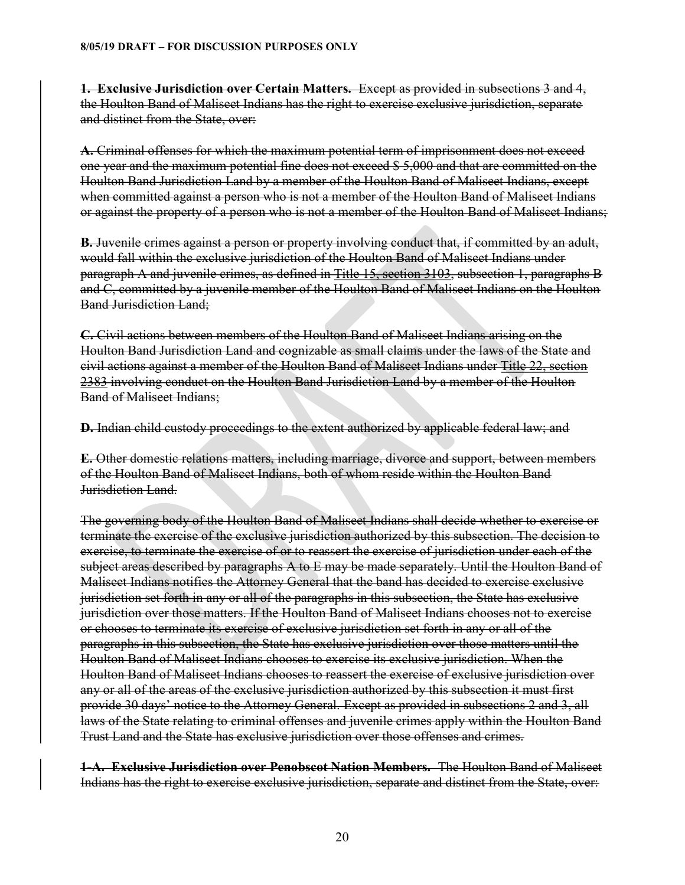1. Exclusive Jurisdiction over Certain Matters. Except as provided in subsections 3 and 4, the Houlton Band of Maliseet Indians has the right to exercise exclusive jurisdiction, separate and distinct from the State, over:

A. Criminal offenses for which the maximum potential term of imprisonment does not exceed one year and the maximum potential fine does not exceed \$ 5,000 and that are committed on the Houlton Band Jurisdiction Land by a member of the Houlton Band of Maliseet Indians, except when committed against a person who is not a member of the Houlton Band of Maliseet Indians or against the property of a person who is not a member of the Houlton Band of Maliseet Indians;

B. Juvenile crimes against a person or property involving conduct that, if committed by an adult, would fall within the exclusive jurisdiction of the Houlton Band of Maliseet Indians under paragraph A and juvenile crimes, as defined in Title 15, section 3103, subsection 1, paragraphs B and C, committed by a juvenile member of the Houlton Band of Maliseet Indians on the Houlton Band Jurisdiction Land;

C. Civil actions between members of the Houlton Band of Maliseet Indians arising on the Houlton Band Jurisdiction Land and cognizable as small claims under the laws of the State and civil actions against a member of the Houlton Band of Maliseet Indians under Title 22, section 2383 involving conduct on the Houlton Band Jurisdiction Land by a member of the Houlton Band of Maliseet Indians;

**D.** Indian child custody proceedings to the extent authorized by applicable federal law; and

E. Other domestic relations matters, including marriage, divorce and support, between members of the Houlton Band of Maliseet Indians, both of whom reside within the Houlton Band Jurisdiction Land.

The governing body of the Houlton Band of Maliseet Indians shall decide whether to exercise or terminate the exercise of the exclusive jurisdiction authorized by this subsection. The decision to exercise, to terminate the exercise of or to reassert the exercise of jurisdiction under each of the subject areas described by paragraphs A to E may be made separately. Until the Houlton Band of Maliseet Indians notifies the Attorney General that the band has decided to exercise exclusive jurisdiction set forth in any or all of the paragraphs in this subsection, the State has exclusive jurisdiction over those matters. If the Houlton Band of Maliseet Indians chooses not to exercise or chooses to terminate its exercise of exclusive jurisdiction set forth in any or all of the paragraphs in this subsection, the State has exclusive jurisdiction over those matters until the Houlton Band of Maliseet Indians chooses to exercise its exclusive jurisdiction. When the Houlton Band of Maliseet Indians chooses to reassert the exercise of exclusive jurisdiction over any or all of the areas of the exclusive jurisdiction authorized by this subsection it must first provide 30 days' notice to the Attorney General. Except as provided in subsections 2 and 3, all laws of the State relating to criminal offenses and juvenile crimes apply within the Houlton Band Trust Land and the State has exclusive jurisdiction over those offenses and crimes.

1-A. Exclusive Jurisdiction over Penobscot Nation Members. The Houlton Band of Maliseet Indians has the right to exercise exclusive jurisdiction, separate and distinct from the State, over: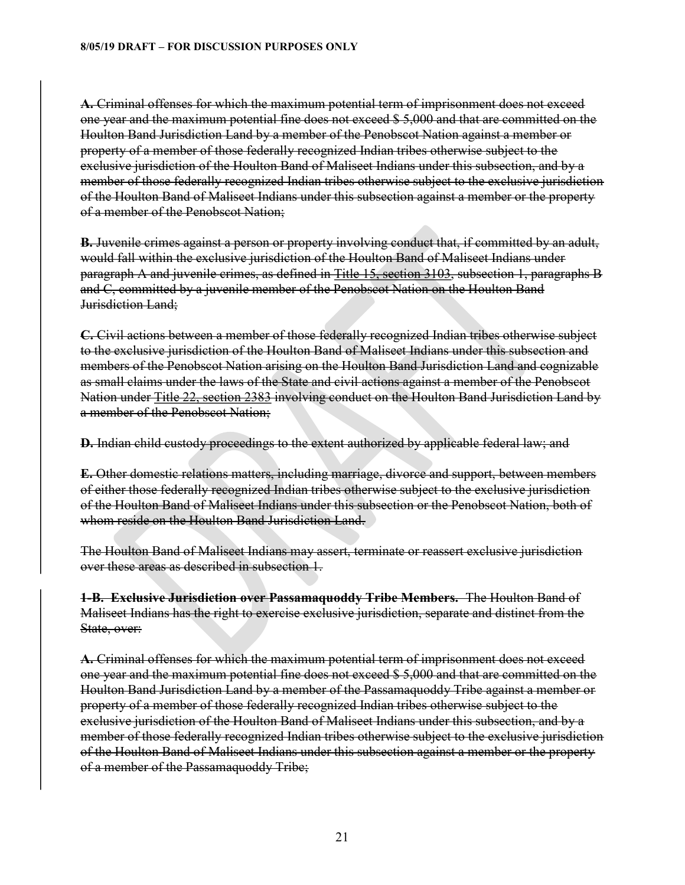A. Criminal offenses for which the maximum potential term of imprisonment does not exceed one year and the maximum potential fine does not exceed \$ 5,000 and that are committed on the Houlton Band Jurisdiction Land by a member of the Penobscot Nation against a member or property of a member of those federally recognized Indian tribes otherwise subject to the exclusive jurisdiction of the Houlton Band of Maliseet Indians under this subsection, and by a member of those federally recognized Indian tribes otherwise subject to the exclusive jurisdiction of the Houlton Band of Maliseet Indians under this subsection against a member or the property of a member of the Penobscot Nation;

B. Juvenile crimes against a person or property involving conduct that, if committed by an adult, would fall within the exclusive jurisdiction of the Houlton Band of Maliseet Indians under paragraph A and juvenile crimes, as defined in Title 15, section 3103, subsection 1, paragraphs B and C, committed by a juvenile member of the Penobscot Nation on the Houlton Band Jurisdiction Land;

C. Civil actions between a member of those federally recognized Indian tribes otherwise subject to the exclusive jurisdiction of the Houlton Band of Maliseet Indians under this subsection and members of the Penobscot Nation arising on the Houlton Band Jurisdiction Land and cognizable as small claims under the laws of the State and civil actions against a member of the Penobscot Nation under Title 22, section 2383 involving conduct on the Houlton Band Jurisdiction Land by a member of the Penobscot Nation;

D. Indian child custody proceedings to the extent authorized by applicable federal law; and

E. Other domestic relations matters, including marriage, divorce and support, between members of either those federally recognized Indian tribes otherwise subject to the exclusive jurisdiction of the Houlton Band of Maliseet Indians under this subsection or the Penobscot Nation, both of whom reside on the Houlton Band Jurisdiction Land.

The Houlton Band of Maliseet Indians may assert, terminate or reassert exclusive jurisdiction over these areas as described in subsection 1.

1-B. Exclusive Jurisdiction over Passamaquoddy Tribe Members. The Houlton Band of Maliseet Indians has the right to exercise exclusive jurisdiction, separate and distinct from the State, over:

A. Criminal offenses for which the maximum potential term of imprisonment does not exceed one year and the maximum potential fine does not exceed \$ 5,000 and that are committed on the Houlton Band Jurisdiction Land by a member of the Passamaquoddy Tribe against a member or property of a member of those federally recognized Indian tribes otherwise subject to the exclusive jurisdiction of the Houlton Band of Maliseet Indians under this subsection, and by a member of those federally recognized Indian tribes otherwise subject to the exclusive jurisdiction of the Houlton Band of Maliseet Indians under this subsection against a member or the property of a member of the Passamaquoddy Tribe;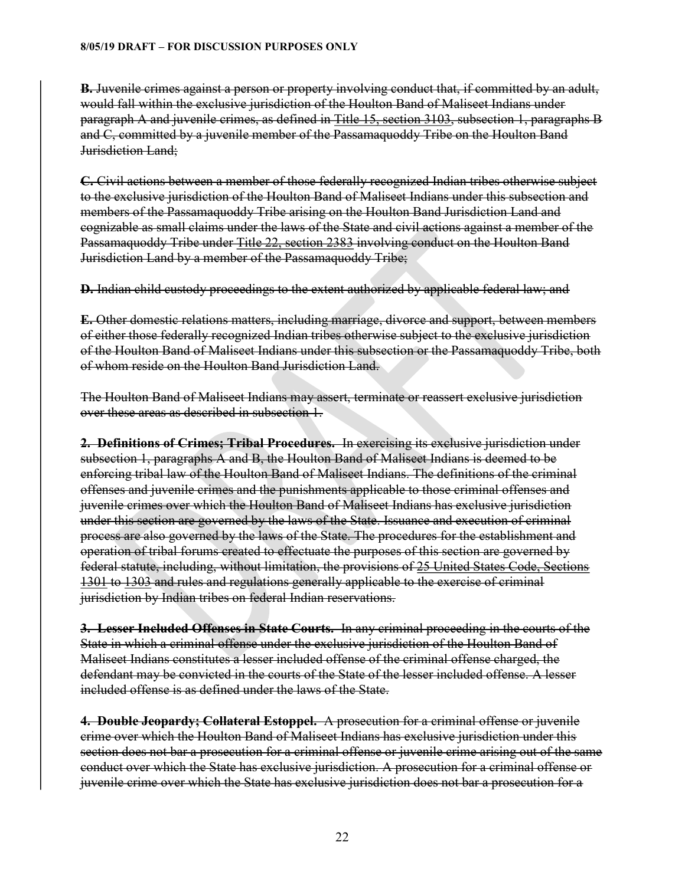B. Juvenile crimes against a person or property involving conduct that, if committed by an adult, would fall within the exclusive jurisdiction of the Houlton Band of Maliseet Indians under paragraph A and juvenile crimes, as defined in Title 15, section 3103, subsection 1, paragraphs B and C, committed by a juvenile member of the Passamaquoddy Tribe on the Houlton Band Jurisdiction Land;

C. Civil actions between a member of those federally recognized Indian tribes otherwise subject to the exclusive jurisdiction of the Houlton Band of Maliseet Indians under this subsection and members of the Passamaquoddy Tribe arising on the Houlton Band Jurisdiction Land and cognizable as small claims under the laws of the State and civil actions against a member of the Passamaquoddy Tribe under Title 22, section 2383 involving conduct on the Houlton Band Jurisdiction Land by a member of the Passamaquoddy Tribe;

D. Indian child custody proceedings to the extent authorized by applicable federal law; and

E. Other domestic relations matters, including marriage, divorce and support, between members of either those federally recognized Indian tribes otherwise subject to the exclusive jurisdiction of the Houlton Band of Maliseet Indians under this subsection or the Passamaquoddy Tribe, both of whom reside on the Houlton Band Jurisdiction Land.

The Houlton Band of Maliseet Indians may assert, terminate or reassert exclusive jurisdiction over these areas as described in subsection 1.

2. Definitions of Crimes; Tribal Procedures. In exercising its exclusive jurisdiction under subsection 1, paragraphs A and B, the Houlton Band of Maliseet Indians is deemed to be enforcing tribal law of the Houlton Band of Maliseet Indians. The definitions of the criminal offenses and juvenile crimes and the punishments applicable to those criminal offenses and juvenile crimes over which the Houlton Band of Maliseet Indians has exclusive jurisdiction under this section are governed by the laws of the State. Issuance and execution of criminal process are also governed by the laws of the State. The procedures for the establishment and operation of tribal forums created to effectuate the purposes of this section are governed by federal statute, including, without limitation, the provisions of 25 United States Code, Sections 1301 to 1303 and rules and regulations generally applicable to the exercise of criminal jurisdiction by Indian tribes on federal Indian reservations.

3. Lesser Included Offenses in State Courts. In any criminal proceeding in the courts of the State in which a criminal offense under the exclusive jurisdiction of the Houlton Band of Maliseet Indians constitutes a lesser included offense of the criminal offense charged, the defendant may be convicted in the courts of the State of the lesser included offense. A lesser included offense is as defined under the laws of the State.

4. Double Jeopardy; Collateral Estoppel. A prosecution for a criminal offense or juvenile crime over which the Houlton Band of Maliseet Indians has exclusive jurisdiction under this section does not bar a prosecution for a criminal offense or juvenile crime arising out of the same conduct over which the State has exclusive jurisdiction. A prosecution for a criminal offense or juvenile crime over which the State has exclusive jurisdiction does not bar a prosecution for a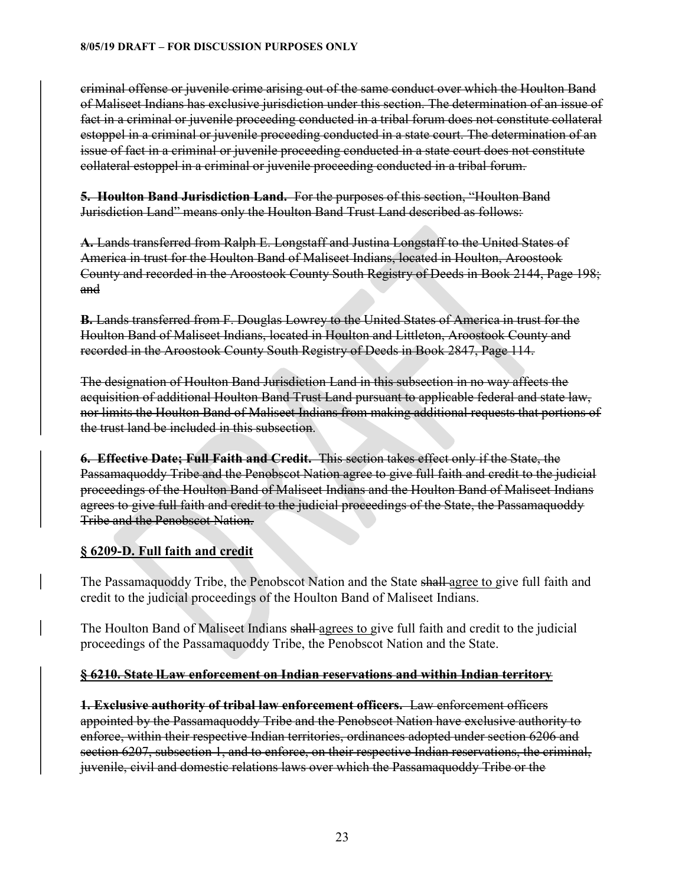criminal offense or juvenile crime arising out of the same conduct over which the Houlton Band of Maliseet Indians has exclusive jurisdiction under this section. The determination of an issue of fact in a criminal or juvenile proceeding conducted in a tribal forum does not constitute collateral estoppel in a criminal or juvenile proceeding conducted in a state court. The determination of an issue of fact in a criminal or juvenile proceeding conducted in a state court does not constitute collateral estoppel in a criminal or juvenile proceeding conducted in a tribal forum.

5. Houlton Band Jurisdiction Land. For the purposes of this section, "Houlton Band Jurisdiction Land" means only the Houlton Band Trust Land described as follows:

A. Lands transferred from Ralph E. Longstaff and Justina Longstaff to the United States of America in trust for the Houlton Band of Maliseet Indians, located in Houlton, Aroostook County and recorded in the Aroostook County South Registry of Deeds in Book 2144, Page 198; and

B. Lands transferred from F. Douglas Lowrey to the United States of America in trust for the Houlton Band of Maliseet Indians, located in Houlton and Littleton, Aroostook County and recorded in the Aroostook County South Registry of Deeds in Book 2847, Page 114.

The designation of Houlton Band Jurisdiction Land in this subsection in no way affects the acquisition of additional Houlton Band Trust Land pursuant to applicable federal and state law, nor limits the Houlton Band of Maliseet Indians from making additional requests that portions of the trust land be included in this subsection.

6. Effective Date; Full Faith and Credit. This section takes effect only if the State, the Passamaquoddy Tribe and the Penobscot Nation agree to give full faith and credit to the judicial proceedings of the Houlton Band of Maliseet Indians and the Houlton Band of Maliseet Indians agrees to give full faith and credit to the judicial proceedings of the State, the Passamaquoddy Tribe and the Penobscot Nation.

## § 6209-D. Full faith and credit

The Passamaquoddy Tribe, the Penobscot Nation and the State shall agree to give full faith and credit to the judicial proceedings of the Houlton Band of Maliseet Indians.

The Houlton Band of Maliseet Indians shall agrees to give full faith and credit to the judicial proceedings of the Passamaquoddy Tribe, the Penobscot Nation and the State.

#### § 6210. State lLaw enforcement on Indian reservations and within Indian territory

1. Exclusive authority of tribal law enforcement officers. Law enforcement officers appointed by the Passamaquoddy Tribe and the Penobscot Nation have exclusive authority to enforce, within their respective Indian territories, ordinances adopted under section 6206 and section 6207, subsection 1, and to enforce, on their respective Indian reservations, the criminal, juvenile, civil and domestic relations laws over which the Passamaquoddy Tribe or the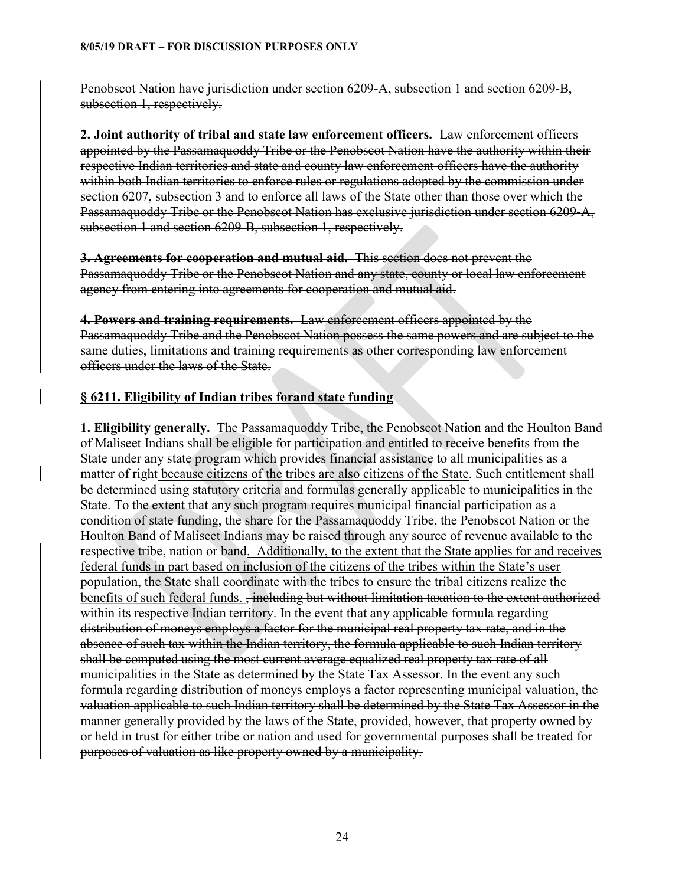Penobscot Nation have jurisdiction under section 6209-A, subsection 1 and section 6209-B, subsection 1, respectively.

2. Joint authority of tribal and state law enforcement officers. Law enforcement officers appointed by the Passamaquoddy Tribe or the Penobscot Nation have the authority within their respective Indian territories and state and county law enforcement officers have the authority within both Indian territories to enforce rules or regulations adopted by the commission under section 6207, subsection 3 and to enforce all laws of the State other than those over which the Passamaquoddy Tribe or the Penobscot Nation has exclusive jurisdiction under section 6209-A, subsection 1 and section 6209-B, subsection 1, respectively.

3. Agreements for cooperation and mutual aid. This section does not prevent the Passamaquoddy Tribe or the Penobscot Nation and any state, county or local law enforcement agency from entering into agreements for cooperation and mutual aid.

4. Powers and training requirements. Law enforcement officers appointed by the Passamaquoddy Tribe and the Penobscot Nation possess the same powers and are subject to the same duties, limitations and training requirements as other corresponding law enforcement officers under the laws of the State.

## § 6211. Eligibility of Indian tribes forand state funding

1. Eligibility generally. The Passamaquoddy Tribe, the Penobscot Nation and the Houlton Band of Maliseet Indians shall be eligible for participation and entitled to receive benefits from the State under any state program which provides financial assistance to all municipalities as a matter of right because citizens of the tribes are also citizens of the State. Such entitlement shall be determined using statutory criteria and formulas generally applicable to municipalities in the State. To the extent that any such program requires municipal financial participation as a condition of state funding, the share for the Passamaquoddy Tribe, the Penobscot Nation or the Houlton Band of Maliseet Indians may be raised through any source of revenue available to the respective tribe, nation or band. Additionally, to the extent that the State applies for and receives federal funds in part based on inclusion of the citizens of the tribes within the State's user population, the State shall coordinate with the tribes to ensure the tribal citizens realize the benefits of such federal funds. <del>, including but without limitation taxation to the extent authorized</del> within its respective Indian territory. In the event that any applicable formula regarding distribution of moneys employs a factor for the municipal real property tax rate, and in the absence of such tax within the Indian territory, the formula applicable to such Indian territory shall be computed using the most current average equalized real property tax rate of all municipalities in the State as determined by the State Tax Assessor. In the event any such formula regarding distribution of moneys employs a factor representing municipal valuation, the valuation applicable to such Indian territory shall be determined by the State Tax Assessor in the manner generally provided by the laws of the State, provided, however, that property owned by or held in trust for either tribe or nation and used for governmental purposes shall be treated for purposes of valuation as like property owned by a municipality.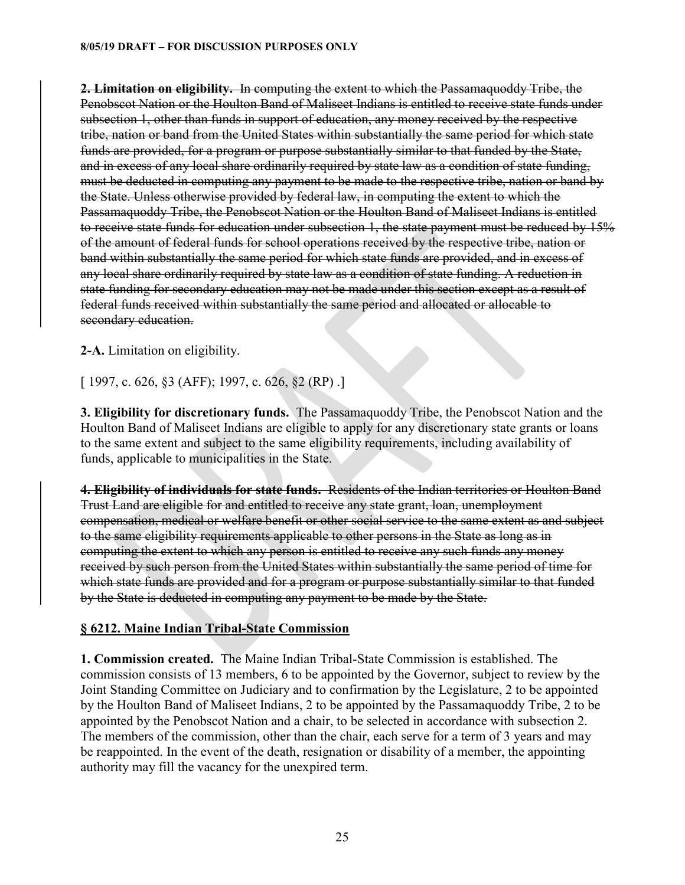2. Limitation on eligibility. In computing the extent to which the Passamaquoddy Tribe, the Penobscot Nation or the Houlton Band of Maliseet Indians is entitled to receive state funds under subsection 1, other than funds in support of education, any money received by the respective tribe, nation or band from the United States within substantially the same period for which state funds are provided, for a program or purpose substantially similar to that funded by the State, and in excess of any local share ordinarily required by state law as a condition of state funding, must be deducted in computing any payment to be made to the respective tribe, nation or band by the State. Unless otherwise provided by federal law, in computing the extent to which the Passamaquoddy Tribe, the Penobscot Nation or the Houlton Band of Maliseet Indians is entitled to receive state funds for education under subsection 1, the state payment must be reduced by 15% of the amount of federal funds for school operations received by the respective tribe, nation or band within substantially the same period for which state funds are provided, and in excess of any local share ordinarily required by state law as a condition of state funding. A reduction in state funding for secondary education may not be made under this section except as a result of federal funds received within substantially the same period and allocated or allocable to secondary education.

2-A. Limitation on eligibility.

[ 1997, c. 626, §3 (AFF); 1997, c. 626, §2 (RP).]

3. Eligibility for discretionary funds. The Passamaquoddy Tribe, the Penobscot Nation and the Houlton Band of Maliseet Indians are eligible to apply for any discretionary state grants or loans to the same extent and subject to the same eligibility requirements, including availability of funds, applicable to municipalities in the State.

4. Eligibility of individuals for state funds. Residents of the Indian territories or Houlton Band Trust Land are eligible for and entitled to receive any state grant, loan, unemployment compensation, medical or welfare benefit or other social service to the same extent as and subject to the same eligibility requirements applicable to other persons in the State as long as in computing the extent to which any person is entitled to receive any such funds any money received by such person from the United States within substantially the same period of time for which state funds are provided and for a program or purpose substantially similar to that funded by the State is deducted in computing any payment to be made by the State.

#### § 6212. Maine Indian Tribal-State Commission

1. Commission created. The Maine Indian Tribal-State Commission is established. The commission consists of 13 members, 6 to be appointed by the Governor, subject to review by the Joint Standing Committee on Judiciary and to confirmation by the Legislature, 2 to be appointed by the Houlton Band of Maliseet Indians, 2 to be appointed by the Passamaquoddy Tribe, 2 to be appointed by the Penobscot Nation and a chair, to be selected in accordance with subsection 2. The members of the commission, other than the chair, each serve for a term of 3 years and may be reappointed. In the event of the death, resignation or disability of a member, the appointing authority may fill the vacancy for the unexpired term.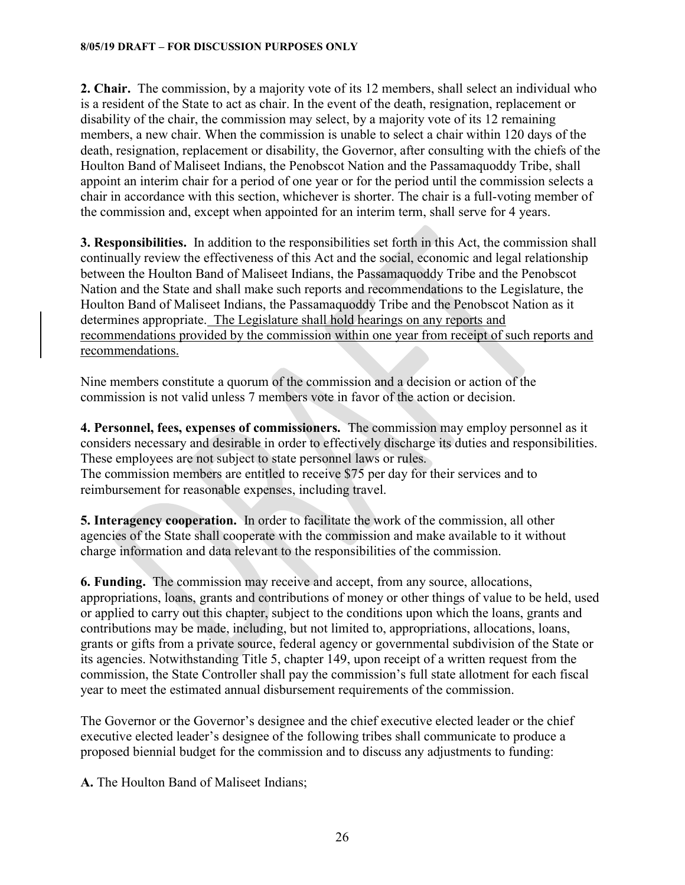2. Chair. The commission, by a majority vote of its 12 members, shall select an individual who is a resident of the State to act as chair. In the event of the death, resignation, replacement or disability of the chair, the commission may select, by a majority vote of its 12 remaining members, a new chair. When the commission is unable to select a chair within 120 days of the death, resignation, replacement or disability, the Governor, after consulting with the chiefs of the Houlton Band of Maliseet Indians, the Penobscot Nation and the Passamaquoddy Tribe, shall appoint an interim chair for a period of one year or for the period until the commission selects a chair in accordance with this section, whichever is shorter. The chair is a full-voting member of the commission and, except when appointed for an interim term, shall serve for 4 years.

3. Responsibilities. In addition to the responsibilities set forth in this Act, the commission shall continually review the effectiveness of this Act and the social, economic and legal relationship between the Houlton Band of Maliseet Indians, the Passamaquoddy Tribe and the Penobscot Nation and the State and shall make such reports and recommendations to the Legislature, the Houlton Band of Maliseet Indians, the Passamaquoddy Tribe and the Penobscot Nation as it determines appropriate. The Legislature shall hold hearings on any reports and recommendations provided by the commission within one year from receipt of such reports and recommendations.

Nine members constitute a quorum of the commission and a decision or action of the commission is not valid unless 7 members vote in favor of the action or decision.

4. Personnel, fees, expenses of commissioners. The commission may employ personnel as it considers necessary and desirable in order to effectively discharge its duties and responsibilities. These employees are not subject to state personnel laws or rules. The commission members are entitled to receive \$75 per day for their services and to reimbursement for reasonable expenses, including travel.

5. Interagency cooperation. In order to facilitate the work of the commission, all other agencies of the State shall cooperate with the commission and make available to it without charge information and data relevant to the responsibilities of the commission.

6. Funding. The commission may receive and accept, from any source, allocations, appropriations, loans, grants and contributions of money or other things of value to be held, used or applied to carry out this chapter, subject to the conditions upon which the loans, grants and contributions may be made, including, but not limited to, appropriations, allocations, loans, grants or gifts from a private source, federal agency or governmental subdivision of the State or its agencies. Notwithstanding Title 5, chapter 149, upon receipt of a written request from the commission, the State Controller shall pay the commission's full state allotment for each fiscal year to meet the estimated annual disbursement requirements of the commission.

The Governor or the Governor's designee and the chief executive elected leader or the chief executive elected leader's designee of the following tribes shall communicate to produce a proposed biennial budget for the commission and to discuss any adjustments to funding:

A. The Houlton Band of Maliseet Indians;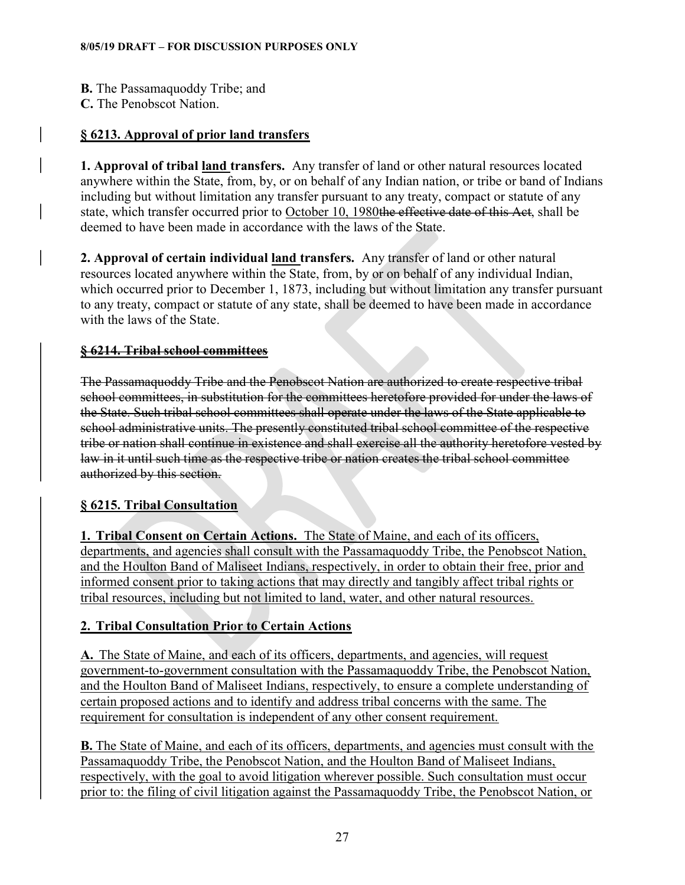B. The Passamaquoddy Tribe; and C. The Penobscot Nation.

# § 6213. Approval of prior land transfers

1. Approval of tribal land transfers. Any transfer of land or other natural resources located anywhere within the State, from, by, or on behalf of any Indian nation, or tribe or band of Indians including but without limitation any transfer pursuant to any treaty, compact or statute of any state, which transfer occurred prior to October 10, 1980the effective date of this Act, shall be deemed to have been made in accordance with the laws of the State.

2. Approval of certain individual land transfers. Any transfer of land or other natural resources located anywhere within the State, from, by or on behalf of any individual Indian, which occurred prior to December 1, 1873, including but without limitation any transfer pursuant to any treaty, compact or statute of any state, shall be deemed to have been made in accordance with the laws of the State.

## § 6214. Tribal school committees

The Passamaquoddy Tribe and the Penobscot Nation are authorized to create respective tribal school committees, in substitution for the committees heretofore provided for under the laws of the State. Such tribal school committees shall operate under the laws of the State applicable to school administrative units. The presently constituted tribal school committee of the respective tribe or nation shall continue in existence and shall exercise all the authority heretofore vested by law in it until such time as the respective tribe or nation creates the tribal school committee authorized by this section.

## § 6215. Tribal Consultation

1. Tribal Consent on Certain Actions. The State of Maine, and each of its officers, departments, and agencies shall consult with the Passamaquoddy Tribe, the Penobscot Nation, and the Houlton Band of Maliseet Indians, respectively, in order to obtain their free, prior and informed consent prior to taking actions that may directly and tangibly affect tribal rights or tribal resources, including but not limited to land, water, and other natural resources.

# 2. Tribal Consultation Prior to Certain Actions

A. The State of Maine, and each of its officers, departments, and agencies, will request government-to-government consultation with the Passamaquoddy Tribe, the Penobscot Nation, and the Houlton Band of Maliseet Indians, respectively, to ensure a complete understanding of certain proposed actions and to identify and address tribal concerns with the same. The requirement for consultation is independent of any other consent requirement.

B. The State of Maine, and each of its officers, departments, and agencies must consult with the Passamaquoddy Tribe, the Penobscot Nation, and the Houlton Band of Maliseet Indians, respectively, with the goal to avoid litigation wherever possible. Such consultation must occur prior to: the filing of civil litigation against the Passamaquoddy Tribe, the Penobscot Nation, or